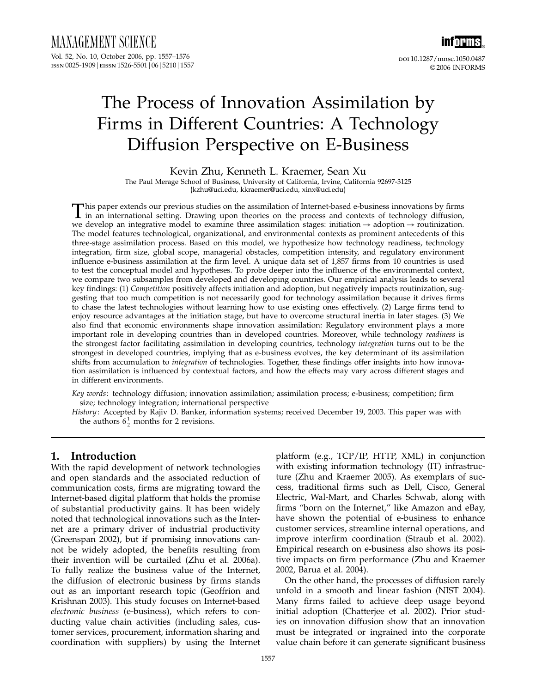inf<mark>orms</mark>。 doi 10.1287/mnsc.1050.0487 © 2006 INFORMS

# The Process of Innovation Assimilation by Firms in Different Countries: A Technology Diffusion Perspective on E-Business

Kevin Zhu, Kenneth L. Kraemer, Sean Xu

The Paul Merage School of Business, University of California, Irvine, California 92697-3125 {kzhu@uci.edu, kkraemer@uci.edu, xinx@uci.edu}

This paper extends our previous studies on the assimilation of Internet-based e-business innovations by firms in an international setting. Drawing upon theories on the process and contexts of technology diffusion, we deve we develop an integrative model to examine three assimilation stages: initiation  $\rightarrow$  adoption  $\rightarrow$  routinization. The model features technological, organizational, and environmental contexts as prominent antecedents of this three-stage assimilation process. Based on this model, we hypothesize how technology readiness, technology integration, firm size, global scope, managerial obstacles, competition intensity, and regulatory environment influence e-business assimilation at the firm level. A unique data set of 1,857 firms from 10 countries is used to test the conceptual model and hypotheses. To probe deeper into the influence of the environmental context, we compare two subsamples from developed and developing countries. Our empirical analysis leads to several key findings: (1) Competition positively affects initiation and adoption, but negatively impacts routinization, suggesting that too much competition is not necessarily good for technology assimilation because it drives firms to chase the latest technologies without learning how to use existing ones effectively. (2) Large firms tend to enjoy resource advantages at the initiation stage, but have to overcome structural inertia in later stages. (3) We also find that economic environments shape innovation assimilation: Regulatory environment plays a more important role in developing countries than in developed countries. Moreover, while technology readiness is the strongest factor facilitating assimilation in developing countries, technology integration turns out to be the strongest in developed countries, implying that as e-business evolves, the key determinant of its assimilation shifts from accumulation to *integration* of technologies. Together, these findings offer insights into how innovation assimilation is influenced by contextual factors, and how the effects may vary across different stages and in different environments.

Key words: technology diffusion; innovation assimilation; assimilation process; e-business; competition; firm size; technology integration; international perspective

History: Accepted by Rajiv D. Banker, information systems; received December 19, 2003. This paper was with the authors  $6\frac{1}{2}$  months for 2 revisions.

# 1. Introduction

With the rapid development of network technologies and open standards and the associated reduction of communication costs, firms are migrating toward the Internet-based digital platform that holds the promise of substantial productivity gains. It has been widely noted that technological innovations such as the Internet are a primary driver of industrial productivity (Greenspan 2002), but if promising innovations cannot be widely adopted, the benefits resulting from their invention will be curtailed (Zhu et al. 2006a). To fully realize the business value of the Internet, the diffusion of electronic business by firms stands out as an important research topic (Geoffrion and Krishnan 2003). This study focuses on Internet-based electronic business (e-business), which refers to conducting value chain activities (including sales, customer services, procurement, information sharing and coordination with suppliers) by using the Internet

platform (e.g., TCP/IP, HTTP, XML) in conjunction with existing information technology (IT) infrastructure (Zhu and Kraemer 2005). As exemplars of success, traditional firms such as Dell, Cisco, General Electric, Wal-Mart, and Charles Schwab, along with firms "born on the Internet," like Amazon and eBay, have shown the potential of e-business to enhance customer services, streamline internal operations, and improve interfirm coordination (Straub et al. 2002). Empirical research on e-business also shows its positive impacts on firm performance (Zhu and Kraemer 2002, Barua et al. 2004).

On the other hand, the processes of diffusion rarely unfold in a smooth and linear fashion (NIST 2004). Many firms failed to achieve deep usage beyond initial adoption (Chatterjee et al. 2002). Prior studies on innovation diffusion show that an innovation must be integrated or ingrained into the corporate value chain before it can generate significant business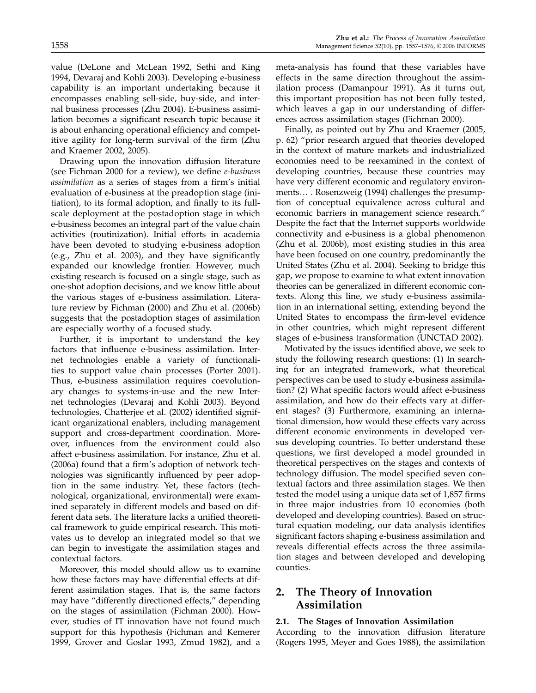value (DeLone and McLean 1992, Sethi and King 1994, Devaraj and Kohli 2003). Developing e-business capability is an important undertaking because it encompasses enabling sell-side, buy-side, and internal business processes (Zhu 2004). E-business assimilation becomes a significant research topic because it is about enhancing operational efficiency and competitive agility for long-term survival of the firm (Zhu and Kraemer 2002, 2005).

Drawing upon the innovation diffusion literature (see Fichman 2000 for a review), we define e-business assimilation as a series of stages from a firm's initial evaluation of e-business at the preadoption stage (initiation), to its formal adoption, and finally to its fullscale deployment at the postadoption stage in which e-business becomes an integral part of the value chain activities (routinization). Initial efforts in academia have been devoted to studying e-business adoption (e.g., Zhu et al. 2003), and they have significantly expanded our knowledge frontier. However, much existing research is focused on a single stage, such as one-shot adoption decisions, and we know little about the various stages of e-business assimilation. Literature review by Fichman (2000) and Zhu et al. (2006b) suggests that the postadoption stages of assimilation are especially worthy of a focused study.

Further, it is important to understand the key factors that influence e-business assimilation. Internet technologies enable a variety of functionalities to support value chain processes (Porter 2001). Thus, e-business assimilation requires coevolutionary changes to systems-in-use and the new Internet technologies (Devaraj and Kohli 2003). Beyond technologies, Chatterjee et al. (2002) identified significant organizational enablers, including management support and cross-department coordination. Moreover, influences from the environment could also affect e-business assimilation. For instance, Zhu et al. (2006a) found that a firm's adoption of network technologies was significantly influenced by peer adoption in the same industry. Yet, these factors (technological, organizational, environmental) were examined separately in different models and based on different data sets. The literature lacks a unified theoretical framework to guide empirical research. This motivates us to develop an integrated model so that we can begin to investigate the assimilation stages and contextual factors.

Moreover, this model should allow us to examine how these factors may have differential effects at different assimilation stages. That is, the same factors may have "differently directioned effects," depending on the stages of assimilation (Fichman 2000). However, studies of IT innovation have not found much support for this hypothesis (Fichman and Kemerer 1999, Grover and Goslar 1993, Zmud 1982), and a

meta-analysis has found that these variables have effects in the same direction throughout the assimilation process (Damanpour 1991). As it turns out, this important proposition has not been fully tested, which leaves a gap in our understanding of differences across assimilation stages (Fichman 2000).

Finally, as pointed out by Zhu and Kraemer (2005, p. 62) "prior research argued that theories developed in the context of mature markets and industrialized economies need to be reexamined in the context of developing countries, because these countries may have very different economic and regulatory environments… . Rosenzweig (1994) challenges the presumption of conceptual equivalence across cultural and economic barriers in management science research." Despite the fact that the Internet supports worldwide connectivity and e-business is a global phenomenon (Zhu et al. 2006b), most existing studies in this area have been focused on one country, predominantly the United States (Zhu et al. 2004). Seeking to bridge this gap, we propose to examine to what extent innovation theories can be generalized in different economic contexts. Along this line, we study e-business assimilation in an international setting, extending beyond the United States to encompass the firm-level evidence in other countries, which might represent different stages of e-business transformation (UNCTAD 2002).

Motivated by the issues identified above, we seek to study the following research questions: (1) In searching for an integrated framework, what theoretical perspectives can be used to study e-business assimilation? (2) What specific factors would affect e-business assimilation, and how do their effects vary at different stages? (3) Furthermore, examining an international dimension, how would these effects vary across different economic environments in developed versus developing countries. To better understand these questions, we first developed a model grounded in theoretical perspectives on the stages and contexts of technology diffusion. The model specified seven contextual factors and three assimilation stages. We then tested the model using a unique data set of 1,857 firms in three major industries from 10 economies (both developed and developing countries). Based on structural equation modeling, our data analysis identifies significant factors shaping e-business assimilation and reveals differential effects across the three assimilation stages and between developed and developing counties.

# 2. The Theory of Innovation Assimilation

## 2.1. The Stages of Innovation Assimilation

According to the innovation diffusion literature (Rogers 1995, Meyer and Goes 1988), the assimilation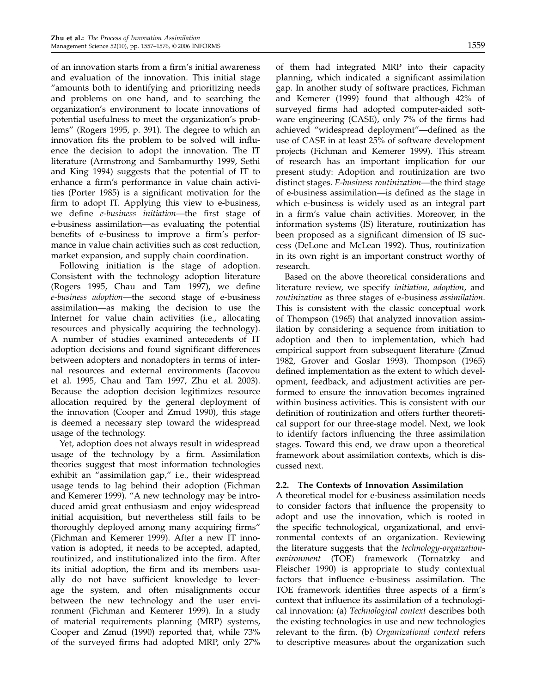of an innovation starts from a firm's initial awareness and evaluation of the innovation. This initial stage "amounts both to identifying and prioritizing needs and problems on one hand, and to searching the organization's environment to locate innovations of potential usefulness to meet the organization's problems" (Rogers 1995, p. 391). The degree to which an innovation fits the problem to be solved will influence the decision to adopt the innovation. The IT literature (Armstrong and Sambamurthy 1999, Sethi and King 1994) suggests that the potential of IT to enhance a firm's performance in value chain activities (Porter 1985) is a significant motivation for the firm to adopt IT. Applying this view to e-business, we define e-business initiation—the first stage of e-business assimilation—as evaluating the potential benefits of e-business to improve a firm's performance in value chain activities such as cost reduction, market expansion, and supply chain coordination.

Following initiation is the stage of adoption. Consistent with the technology adoption literature (Rogers 1995, Chau and Tam 1997), we define e-business adoption—the second stage of e-business assimilation—as making the decision to use the Internet for value chain activities (i.e., allocating resources and physically acquiring the technology). A number of studies examined antecedents of IT adoption decisions and found significant differences between adopters and nonadopters in terms of internal resources and external environments (Iacovou et al. 1995, Chau and Tam 1997, Zhu et al. 2003). Because the adoption decision legitimizes resource allocation required by the general deployment of the innovation (Cooper and Zmud 1990), this stage is deemed a necessary step toward the widespread usage of the technology.

Yet, adoption does not always result in widespread usage of the technology by a firm. Assimilation theories suggest that most information technologies exhibit an "assimilation gap," i.e., their widespread usage tends to lag behind their adoption (Fichman and Kemerer 1999). "A new technology may be introduced amid great enthusiasm and enjoy widespread initial acquisition, but nevertheless still fails to be thoroughly deployed among many acquiring firms" (Fichman and Kemerer 1999). After a new IT innovation is adopted, it needs to be accepted, adapted, routinized, and institutionalized into the firm. After its initial adoption, the firm and its members usually do not have sufficient knowledge to leverage the system, and often misalignments occur between the new technology and the user environment (Fichman and Kemerer 1999). In a study of material requirements planning (MRP) systems, Cooper and Zmud (1990) reported that, while 73% of the surveyed firms had adopted MRP, only 27%

of them had integrated MRP into their capacity planning, which indicated a significant assimilation gap. In another study of software practices, Fichman and Kemerer (1999) found that although 42% of surveyed firms had adopted computer-aided software engineering (CASE), only 7% of the firms had achieved "widespread deployment"—defined as the use of CASE in at least 25% of software development projects (Fichman and Kemerer 1999). This stream of research has an important implication for our present study: Adoption and routinization are two distinct stages. E-business routinization—the third stage of e-business assimilation—is defined as the stage in which e-business is widely used as an integral part in a firm's value chain activities. Moreover, in the information systems (IS) literature, routinization has been proposed as a significant dimension of IS success (DeLone and McLean 1992). Thus, routinization in its own right is an important construct worthy of research.

Based on the above theoretical considerations and literature review, we specify initiation, adoption, and routinization as three stages of e-business assimilation. This is consistent with the classic conceptual work of Thompson (1965) that analyzed innovation assimilation by considering a sequence from initiation to adoption and then to implementation, which had empirical support from subsequent literature (Zmud 1982, Grover and Goslar 1993). Thompson (1965) defined implementation as the extent to which development, feedback, and adjustment activities are performed to ensure the innovation becomes ingrained within business activities. This is consistent with our definition of routinization and offers further theoretical support for our three-stage model. Next, we look to identify factors influencing the three assimilation stages. Toward this end, we draw upon a theoretical framework about assimilation contexts, which is discussed next.

## 2.2. The Contexts of Innovation Assimilation

A theoretical model for e-business assimilation needs to consider factors that influence the propensity to adopt and use the innovation, which is rooted in the specific technological, organizational, and environmental contexts of an organization. Reviewing the literature suggests that the technology-orgaizationenvironment (TOE) framework (Tornatzky and Fleischer 1990) is appropriate to study contextual factors that influence e-business assimilation. The TOE framework identifies three aspects of a firm's context that influence its assimilation of a technological innovation: (a) Technological context describes both the existing technologies in use and new technologies relevant to the firm. (b) Organizational context refers to descriptive measures about the organization such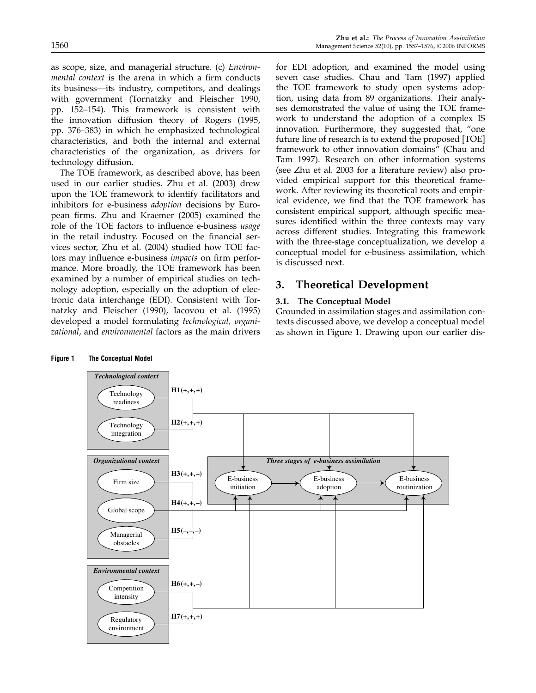as scope, size, and managerial structure. (c) Environmental context is the arena in which a firm conducts its business—its industry, competitors, and dealings with government (Tornatzky and Fleischer 1990, pp. 152–154). This framework is consistent with the innovation diffusion theory of Rogers (1995, pp. 376–383) in which he emphasized technological characteristics, and both the internal and external characteristics of the organization, as drivers for technology diffusion.

The TOE framework, as described above, has been used in our earlier studies. Zhu et al. (2003) drew upon the TOE framework to identify facilitators and inhibitors for e-business adoption decisions by European firms. Zhu and Kraemer (2005) examined the role of the TOE factors to influence e-business usage in the retail industry. Focused on the financial services sector, Zhu et al. (2004) studied how TOE factors may influence e-business impacts on firm performance. More broadly, the TOE framework has been examined by a number of empirical studies on technology adoption, especially on the adoption of electronic data interchange (EDI). Consistent with Tornatzky and Fleischer (1990), Iacovou et al. (1995) developed a model formulating technological, organizational, and environmental factors as the main drivers

for EDI adoption, and examined the model using seven case studies. Chau and Tam (1997) applied the TOE framework to study open systems adoption, using data from 89 organizations. Their analyses demonstrated the value of using the TOE framework to understand the adoption of a complex IS innovation. Furthermore, they suggested that, "one future line of research is to extend the proposed [TOE] framework to other innovation domains" (Chau and Tam 1997). Research on other information systems (see Zhu et al. 2003 for a literature review) also provided empirical support for this theoretical framework. After reviewing its theoretical roots and empirical evidence, we find that the TOE framework has consistent empirical support, although specific measures identified within the three contexts may vary across different studies. Integrating this framework with the three-stage conceptualization, we develop a conceptual model for e-business assimilation, which is discussed next.

# 3. Theoretical Development

# 3.1. The Conceptual Model

Grounded in assimilation stages and assimilation contexts discussed above, we develop a conceptual model as shown in Figure 1. Drawing upon our earlier dis-



#### Figure 1 The Conceptual Model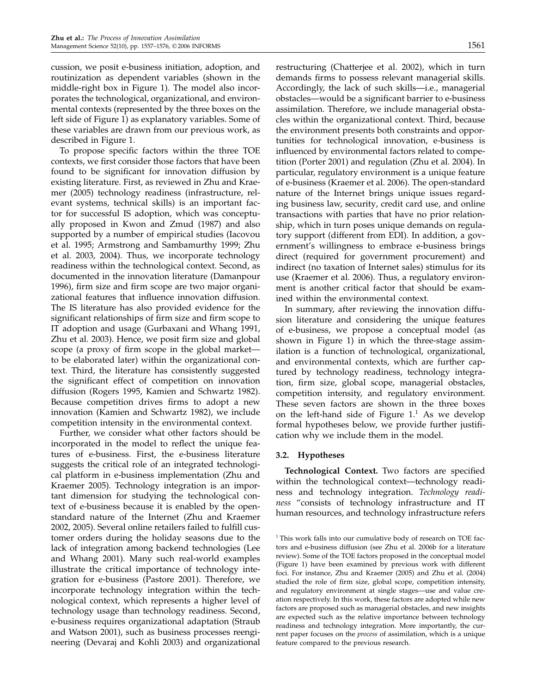cussion, we posit e-business initiation, adoption, and routinization as dependent variables (shown in the middle-right box in Figure 1). The model also incorporates the technological, organizational, and environmental contexts (represented by the three boxes on the left side of Figure 1) as explanatory variables. Some of these variables are drawn from our previous work, as described in Figure 1.

To propose specific factors within the three TOE contexts, we first consider those factors that have been found to be significant for innovation diffusion by existing literature. First, as reviewed in Zhu and Kraemer (2005) technology readiness (infrastructure, relevant systems, technical skills) is an important factor for successful IS adoption, which was conceptually proposed in Kwon and Zmud (1987) and also supported by a number of empirical studies (Iacovou et al. 1995; Armstrong and Sambamurthy 1999; Zhu et al. 2003, 2004). Thus, we incorporate technology readiness within the technological context. Second, as documented in the innovation literature (Damanpour 1996), firm size and firm scope are two major organizational features that influence innovation diffusion. The IS literature has also provided evidence for the significant relationships of firm size and firm scope to IT adoption and usage (Gurbaxani and Whang 1991, Zhu et al. 2003). Hence, we posit firm size and global scope (a proxy of firm scope in the global market to be elaborated later) within the organizational context. Third, the literature has consistently suggested the significant effect of competition on innovation diffusion (Rogers 1995, Kamien and Schwartz 1982). Because competition drives firms to adopt a new innovation (Kamien and Schwartz 1982), we include competition intensity in the environmental context.

Further, we consider what other factors should be incorporated in the model to reflect the unique features of e-business. First, the e-business literature suggests the critical role of an integrated technological platform in e-business implementation (Zhu and Kraemer 2005). Technology integration is an important dimension for studying the technological context of e-business because it is enabled by the openstandard nature of the Internet (Zhu and Kraemer 2002, 2005). Several online retailers failed to fulfill customer orders during the holiday seasons due to the lack of integration among backend technologies (Lee and Whang 2001). Many such real-world examples illustrate the critical importance of technology integration for e-business (Pastore 2001). Therefore, we incorporate technology integration within the technological context, which represents a higher level of technology usage than technology readiness. Second, e-business requires organizational adaptation (Straub and Watson 2001), such as business processes reengineering (Devaraj and Kohli 2003) and organizational

restructuring (Chatterjee et al. 2002), which in turn demands firms to possess relevant managerial skills. Accordingly, the lack of such skills—i.e., managerial obstacles—would be a significant barrier to e-business assimilation. Therefore, we include managerial obstacles within the organizational context. Third, because the environment presents both constraints and opportunities for technological innovation, e-business is influenced by environmental factors related to competition (Porter 2001) and regulation (Zhu et al. 2004). In particular, regulatory environment is a unique feature of e-business (Kraemer et al. 2006). The open-standard nature of the Internet brings unique issues regarding business law, security, credit card use, and online transactions with parties that have no prior relationship, which in turn poses unique demands on regulatory support (different from EDI). In addition, a government's willingness to embrace e-business brings direct (required for government procurement) and indirect (no taxation of Internet sales) stimulus for its use (Kraemer et al. 2006). Thus, a regulatory environment is another critical factor that should be examined within the environmental context.

In summary, after reviewing the innovation diffusion literature and considering the unique features of e-business, we propose a conceptual model (as shown in Figure 1) in which the three-stage assimilation is a function of technological, organizational, and environmental contexts, which are further captured by technology readiness, technology integration, firm size, global scope, managerial obstacles, competition intensity, and regulatory environment. These seven factors are shown in the three boxes on the left-hand side of Figure  $1<sup>1</sup>$  As we develop formal hypotheses below, we provide further justification why we include them in the model.

## 3.2. Hypotheses

Technological Context. Two factors are specified within the technological context—technology readiness and technology integration. Technology readiness "consists of technology infrastructure and IT human resources, and technology infrastructure refers

<sup>&</sup>lt;sup>1</sup> This work falls into our cumulative body of research on TOE factors and e-business diffusion (see Zhu et al. 2006b for a literature review). Some of the TOE factors proposed in the conceptual model (Figure 1) have been examined by previous work with different foci. For instance, Zhu and Kraemer (2005) and Zhu et al. (2004) studied the role of firm size, global scope, competition intensity, and regulatory environment at single stages—use and value creation respectively. In this work, these factors are adopted while new factors are proposed such as managerial obstacles, and new insights are expected such as the relative importance between technology readiness and technology integration. More importantly, the current paper focuses on the process of assimilation, which is a unique feature compared to the previous research.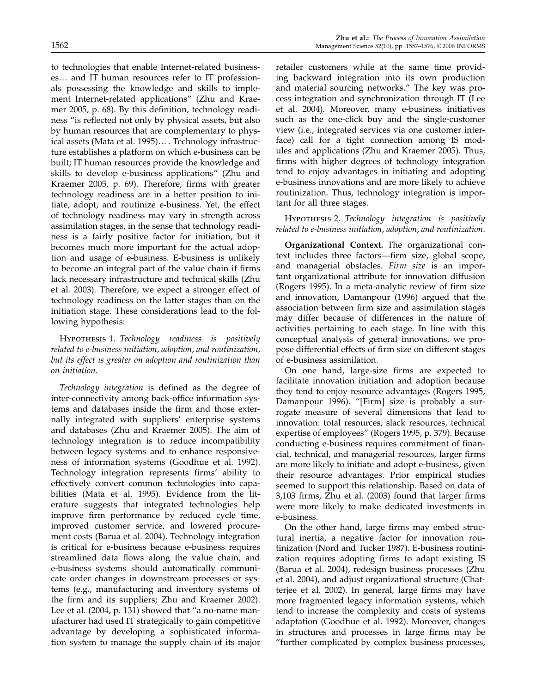to technologies that enable Internet-related businesses… and IT human resources refer to IT professionals possessing the knowledge and skills to implement Internet-related applications" (Zhu and Kraemer 2005, p. 68). By this definition, technology readiness "is reflected not only by physical assets, but also by human resources that are complementary to physical assets (Mata et al. 1995)… . Technology infrastructure establishes a platform on which e-business can be built; IT human resources provide the knowledge and skills to develop e-business applications" (Zhu and Kraemer 2005, p. 69). Therefore, firms with greater technology readiness are in a better position to initiate, adopt, and routinize e-business. Yet, the effect of technology readiness may vary in strength across assimilation stages, in the sense that technology readiness is a fairly positive factor for initiation, but it becomes much more important for the actual adoption and usage of e-business. E-business is unlikely to become an integral part of the value chain if firms lack necessary infrastructure and technical skills (Zhu et al. 2003). Therefore, we expect a stronger effect of technology readiness on the latter stages than on the initiation stage. These considerations lead to the following hypothesis:

Hypothesis 1. Technology readiness is positively related to e-business initiation, adoption, and routinization, but its effect is greater on adoption and routinization than on initiation.

Technology integration is defined as the degree of inter-connectivity among back-office information systems and databases inside the firm and those externally integrated with suppliers' enterprise systems and databases (Zhu and Kraemer 2005). The aim of technology integration is to reduce incompatibility between legacy systems and to enhance responsiveness of information systems (Goodhue et al. 1992). Technology integration represents firms' ability to effectively convert common technologies into capabilities (Mata et al. 1995). Evidence from the literature suggests that integrated technologies help improve firm performance by reduced cycle time, improved customer service, and lowered procurement costs (Barua et al. 2004). Technology integration is critical for e-business because e-business requires streamlined data flows along the value chain, and e-business systems should automatically communicate order changes in downstream processes or systems (e.g., manufacturing and inventory systems of the firm and its suppliers; Zhu and Kraemer 2002). Lee et al. (2004, p. 131) showed that "a no-name manufacturer had used IT strategically to gain competitive advantage by developing a sophisticated information system to manage the supply chain of its major

retailer customers while at the same time providing backward integration into its own production and material sourcing networks." The key was process integration and synchronization through IT (Lee et al. 2004). Moreover, many e-business initiatives such as the one-click buy and the single-customer view (i.e., integrated services via one customer interface) call for a tight connection among IS modules and applications (Zhu and Kraemer 2005). Thus, firms with higher degrees of technology integration tend to enjoy advantages in initiating and adopting e-business innovations and are more likely to achieve routinization. Thus, technology integration is important for all three stages.

Hypothesis 2. Technology integration is positively related to e-business initiation, adoption, and routinization.

Organizational Context. The organizational context includes three factors—firm size, global scope, and managerial obstacles. Firm size is an important organizational attribute for innovation diffusion (Rogers 1995). In a meta-analytic review of firm size and innovation, Damanpour (1996) argued that the association between firm size and assimilation stages may differ because of differences in the nature of activities pertaining to each stage. In line with this conceptual analysis of general innovations, we propose differential effects of firm size on different stages of e-business assimilation.

On one hand, large-size firms are expected to facilitate innovation initiation and adoption because they tend to enjoy resource advantages (Rogers 1995, Damanpour 1996). "[Firm] size is probably a surrogate measure of several dimensions that lead to innovation: total resources, slack resources, technical expertise of employees" (Rogers 1995, p. 379). Because conducting e-business requires commitment of financial, technical, and managerial resources, larger firms are more likely to initiate and adopt e-business, given their resource advantages. Prior empirical studies seemed to support this relationship. Based on data of 3,103 firms, Zhu et al. (2003) found that larger firms were more likely to make dedicated investments in e-business.

On the other hand, large firms may embed structural inertia, a negative factor for innovation routinization (Nord and Tucker 1987). E-business routinization requires adopting firms to adapt existing IS (Barua et al. 2004), redesign business processes (Zhu et al. 2004), and adjust organizational structure (Chatterjee et al. 2002). In general, large firms may have more fragmented legacy information systems, which tend to increase the complexity and costs of systems adaptation (Goodhue et al. 1992). Moreover, changes in structures and processes in large firms may be "further complicated by complex business processes,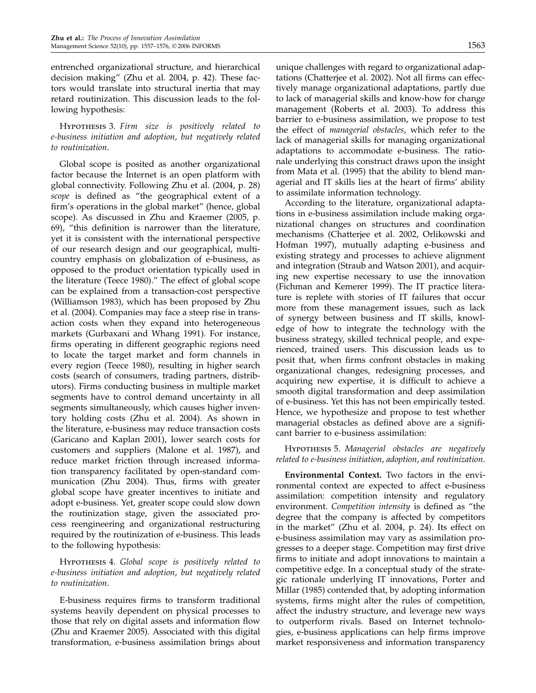entrenched organizational structure, and hierarchical decision making" (Zhu et al. 2004, p. 42). These factors would translate into structural inertia that may retard routinization. This discussion leads to the following hypothesis:

## Hypothesis 3. Firm size is positively related to e-business initiation and adoption, but negatively related to routinization.

Global scope is posited as another organizational factor because the Internet is an open platform with global connectivity. Following Zhu et al. (2004, p. 28) scope is defined as "the geographical extent of a firm's operations in the global market" (hence, global scope). As discussed in Zhu and Kraemer (2005, p. 69), "this definition is narrower than the literature, yet it is consistent with the international perspective of our research design and our geographical, multicountry emphasis on globalization of e-business, as opposed to the product orientation typically used in the literature (Teece 1980)." The effect of global scope can be explained from a transaction-cost perspective (Williamson 1983), which has been proposed by Zhu et al. (2004). Companies may face a steep rise in transaction costs when they expand into heterogeneous markets (Gurbaxani and Whang 1991). For instance, firms operating in different geographic regions need to locate the target market and form channels in every region (Teece 1980), resulting in higher search costs (search of consumers, trading partners, distributors). Firms conducting business in multiple market segments have to control demand uncertainty in all segments simultaneously, which causes higher inventory holding costs (Zhu et al. 2004). As shown in the literature, e-business may reduce transaction costs (Garicano and Kaplan 2001), lower search costs for customers and suppliers (Malone et al. 1987), and reduce market friction through increased information transparency facilitated by open-standard communication (Zhu 2004). Thus, firms with greater global scope have greater incentives to initiate and adopt e-business. Yet, greater scope could slow down the routinization stage, given the associated process reengineering and organizational restructuring required by the routinization of e-business. This leads to the following hypothesis:

## Hypothesis 4. Global scope is positively related to e-business initiation and adoption, but negatively related to routinization.

E-business requires firms to transform traditional systems heavily dependent on physical processes to those that rely on digital assets and information flow (Zhu and Kraemer 2005). Associated with this digital transformation, e-business assimilation brings about

unique challenges with regard to organizational adaptations (Chatterjee et al. 2002). Not all firms can effectively manage organizational adaptations, partly due to lack of managerial skills and know-how for change management (Roberts et al. 2003). To address this barrier to e-business assimilation, we propose to test the effect of managerial obstacles, which refer to the lack of managerial skills for managing organizational adaptations to accommodate e-business. The rationale underlying this construct draws upon the insight from Mata et al. (1995) that the ability to blend managerial and IT skills lies at the heart of firms' ability to assimilate information technology.

According to the literature, organizational adaptations in e-business assimilation include making organizational changes on structures and coordination mechanisms (Chatterjee et al. 2002, Orlikowski and Hofman 1997), mutually adapting e-business and existing strategy and processes to achieve alignment and integration (Straub and Watson 2001), and acquiring new expertise necessary to use the innovation (Fichman and Kemerer 1999). The IT practice literature is replete with stories of IT failures that occur more from these management issues, such as lack of synergy between business and IT skills, knowledge of how to integrate the technology with the business strategy, skilled technical people, and experienced, trained users. This discussion leads us to posit that, when firms confront obstacles in making organizational changes, redesigning processes, and acquiring new expertise, it is difficult to achieve a smooth digital transformation and deep assimilation of e-business. Yet this has not been empirically tested. Hence, we hypothesize and propose to test whether managerial obstacles as defined above are a significant barrier to e-business assimilation:

Hypothesis 5. Managerial obstacles are negatively related to e-business initiation, adoption, and routinization.

Environmental Context. Two factors in the environmental context are expected to affect e-business assimilation: competition intensity and regulatory environment. Competition intensity is defined as "the degree that the company is affected by competitors in the market" (Zhu et al. 2004, p. 24). Its effect on e-business assimilation may vary as assimilation progresses to a deeper stage. Competition may first drive firms to initiate and adopt innovations to maintain a competitive edge. In a conceptual study of the strategic rationale underlying IT innovations, Porter and Millar (1985) contended that, by adopting information systems, firms might alter the rules of competition, affect the industry structure, and leverage new ways to outperform rivals. Based on Internet technologies, e-business applications can help firms improve market responsiveness and information transparency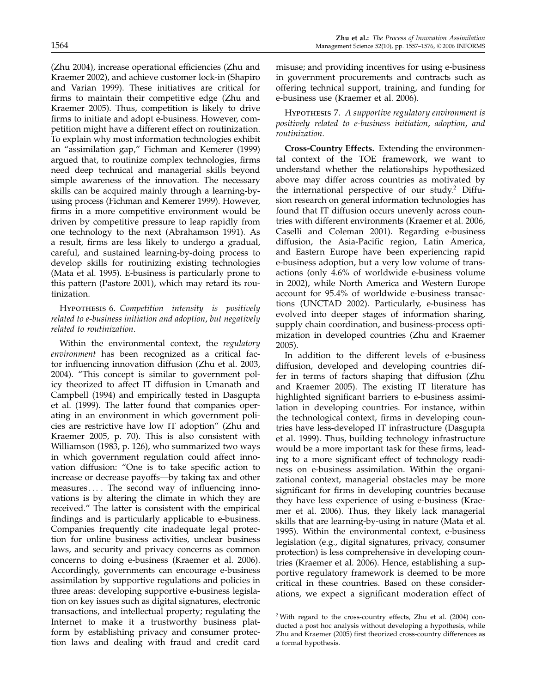(Zhu 2004), increase operational efficiencies (Zhu and Kraemer 2002), and achieve customer lock-in (Shapiro and Varian 1999). These initiatives are critical for firms to maintain their competitive edge (Zhu and Kraemer 2005). Thus, competition is likely to drive firms to initiate and adopt e-business. However, competition might have a different effect on routinization. To explain why most information technologies exhibit an "assimilation gap," Fichman and Kemerer (1999) argued that, to routinize complex technologies, firms need deep technical and managerial skills beyond simple awareness of the innovation. The necessary skills can be acquired mainly through a learning-byusing process (Fichman and Kemerer 1999). However, firms in a more competitive environment would be driven by competitive pressure to leap rapidly from one technology to the next (Abrahamson 1991). As a result, firms are less likely to undergo a gradual, careful, and sustained learning-by-doing process to develop skills for routinizing existing technologies (Mata et al. 1995). E-business is particularly prone to this pattern (Pastore 2001), which may retard its routinization.

## Hypothesis 6. Competition intensity is positively related to e-business initiation and adoption, but negatively related to routinization.

Within the environmental context, the regulatory environment has been recognized as a critical factor influencing innovation diffusion (Zhu et al. 2003, 2004). "This concept is similar to government policy theorized to affect IT diffusion in Umanath and Campbell (1994) and empirically tested in Dasgupta et al. (1999). The latter found that companies operating in an environment in which government policies are restrictive have low IT adoption" (Zhu and Kraemer 2005, p. 70). This is also consistent with Williamson (1983, p. 126), who summarized two ways in which government regulation could affect innovation diffusion: "One is to take specific action to increase or decrease payoffs—by taking tax and other measures ... The second way of influencing innovations is by altering the climate in which they are received." The latter is consistent with the empirical findings and is particularly applicable to e-business. Companies frequently cite inadequate legal protection for online business activities, unclear business laws, and security and privacy concerns as common concerns to doing e-business (Kraemer et al. 2006). Accordingly, governments can encourage e-business assimilation by supportive regulations and policies in three areas: developing supportive e-business legislation on key issues such as digital signatures, electronic transactions, and intellectual property; regulating the Internet to make it a trustworthy business platform by establishing privacy and consumer protection laws and dealing with fraud and credit card misuse; and providing incentives for using e-business in government procurements and contracts such as offering technical support, training, and funding for e-business use (Kraemer et al. 2006).

Hypothesis 7. A supportive regulatory environment is positively related to e-business initiation, adoption, and routinization.

Cross-Country Effects. Extending the environmental context of the TOE framework, we want to understand whether the relationships hypothesized above may differ across countries as motivated by the international perspective of our study.<sup>2</sup> Diffusion research on general information technologies has found that IT diffusion occurs unevenly across countries with different environments (Kraemer et al. 2006, Caselli and Coleman 2001). Regarding e-business diffusion, the Asia-Pacific region, Latin America, and Eastern Europe have been experiencing rapid e-business adoption, but a very low volume of transactions (only 4.6% of worldwide e-business volume in 2002), while North America and Western Europe account for 95.4% of worldwide e-business transactions (UNCTAD 2002). Particularly, e-business has evolved into deeper stages of information sharing, supply chain coordination, and business-process optimization in developed countries (Zhu and Kraemer 2005).

In addition to the different levels of e-business diffusion, developed and developing countries differ in terms of factors shaping that diffusion (Zhu and Kraemer 2005). The existing IT literature has highlighted significant barriers to e-business assimilation in developing countries. For instance, within the technological context, firms in developing countries have less-developed IT infrastructure (Dasgupta et al. 1999). Thus, building technology infrastructure would be a more important task for these firms, leading to a more significant effect of technology readiness on e-business assimilation. Within the organizational context, managerial obstacles may be more significant for firms in developing countries because they have less experience of using e-business (Kraemer et al. 2006). Thus, they likely lack managerial skills that are learning-by-using in nature (Mata et al. 1995). Within the environmental context, e-business legislation (e.g., digital signatures, privacy, consumer protection) is less comprehensive in developing countries (Kraemer et al. 2006). Hence, establishing a supportive regulatory framework is deemed to be more critical in these countries. Based on these considerations, we expect a significant moderation effect of

<sup>2</sup> With regard to the cross-country effects, Zhu et al. (2004) conducted a post hoc analysis without developing a hypothesis, while Zhu and Kraemer (2005) first theorized cross-country differences as a formal hypothesis.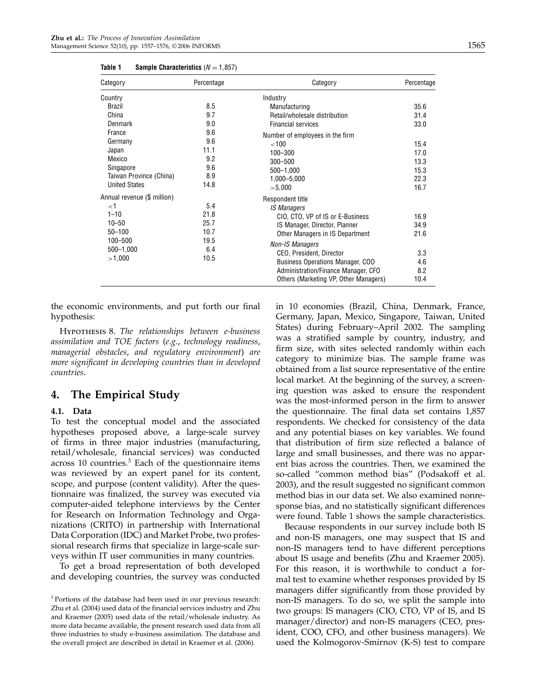| Category                    | Percentage | Category                                | Percentage |
|-----------------------------|------------|-----------------------------------------|------------|
| Country                     |            | Industry                                |            |
| <b>Brazil</b>               | 8.5        | Manufacturing                           | 35.6       |
| China                       | 9.7        | Retail/wholesale distribution           | 31.4       |
| Denmark                     | 9.0        | <b>Financial services</b>               | 33.0       |
| France                      | 9.6        | Number of employees in the firm         |            |
| Germany                     | 9.6        | < 100                                   | 15.4       |
| Japan                       | 11.1       | $100 - 300$                             | 17.0       |
| Mexico                      | 9.2        | 300-500                                 | 13.3       |
| Singapore                   | 9.6        | 500-1,000                               | 15.3       |
| Taiwan Province (China)     | 8.9        | 1,000-5,000                             | 22.3       |
| <b>United States</b>        | 14.8       | >5,000                                  | 16.7       |
| Annual revenue (\$ million) |            | Respondent title                        |            |
| ${<}1$                      | 5.4        | <b>IS Managers</b>                      |            |
| $1 - 10$                    | 21.8       | CIO, CTO, VP of IS or E-Business        | 16.9       |
| $10 - 50$                   | 25.7       | IS Manager, Director, Planner           | 34.9       |
| $50 - 100$                  | 10.7       | Other Managers in IS Department         | 21.6       |
| 100-500                     | 19.5       | <b>Non-IS Managers</b>                  |            |
| $500 - 1,000$               | 6.4        | <b>CEO. President, Director</b>         | 3.3        |
| >1,000                      | 10.5       | <b>Business Operations Manager, COO</b> | 4.6        |
|                             |            | Administration/Finance Manager, CFO     | 8.2        |
|                             |            | Others (Marketing VP, Other Managers)   | 10.4       |

Table 1 Sample Characteristics  $(N = 1,857)$ 

the economic environments, and put forth our final hypothesis:

Hypothesis 8. The relationships between e-business assimilation and TOE factors (e.g., technology readiness, managerial obstacles, and regulatory environment) are more significant in developing countries than in developed countries.

# 4. The Empirical Study

#### 4.1. Data

To test the conceptual model and the associated hypotheses proposed above, a large-scale survey of firms in three major industries (manufacturing, retail/wholesale, financial services) was conducted across 10 countries. $3$  Each of the questionnaire items was reviewed by an expert panel for its content, scope, and purpose (content validity). After the questionnaire was finalized, the survey was executed via computer-aided telephone interviews by the Center for Research on Information Technology and Organizations (CRITO) in partnership with International Data Corporation (IDC) and Market Probe, two professional research firms that specialize in large-scale surveys within IT user communities in many countries.

To get a broad representation of both developed and developing countries, the survey was conducted in 10 economies (Brazil, China, Denmark, France, Germany, Japan, Mexico, Singapore, Taiwan, United States) during February–April 2002. The sampling was a stratified sample by country, industry, and firm size, with sites selected randomly within each category to minimize bias. The sample frame was obtained from a list source representative of the entire local market. At the beginning of the survey, a screening question was asked to ensure the respondent was the most-informed person in the firm to answer the questionnaire. The final data set contains 1,857 respondents. We checked for consistency of the data and any potential biases on key variables. We found that distribution of firm size reflected a balance of large and small businesses, and there was no apparent bias across the countries. Then, we examined the so-called "common method bias" (Podsakoff et al. 2003), and the result suggested no significant common method bias in our data set. We also examined nonresponse bias, and no statistically significant differences were found. Table 1 shows the sample characteristics.

Because respondents in our survey include both IS and non-IS managers, one may suspect that IS and non-IS managers tend to have different perceptions about IS usage and benefits (Zhu and Kraemer 2005). For this reason, it is worthwhile to conduct a formal test to examine whether responses provided by IS managers differ significantly from those provided by non-IS managers. To do so, we split the sample into two groups: IS managers (CIO, CTO, VP of IS, and IS manager/director) and non-IS managers (CEO, president, COO, CFO, and other business managers). We used the Kolmogorov-Smirnov (K-S) test to compare

<sup>&</sup>lt;sup>3</sup> Portions of the database had been used in our previous research: Zhu et al. (2004) used data of the financial services industry and Zhu and Kraemer (2005) used data of the retail/wholesale industry. As more data became available, the present research used data from all three industries to study e-business assimilation. The database and the overall project are described in detail in Kraemer et al. (2006).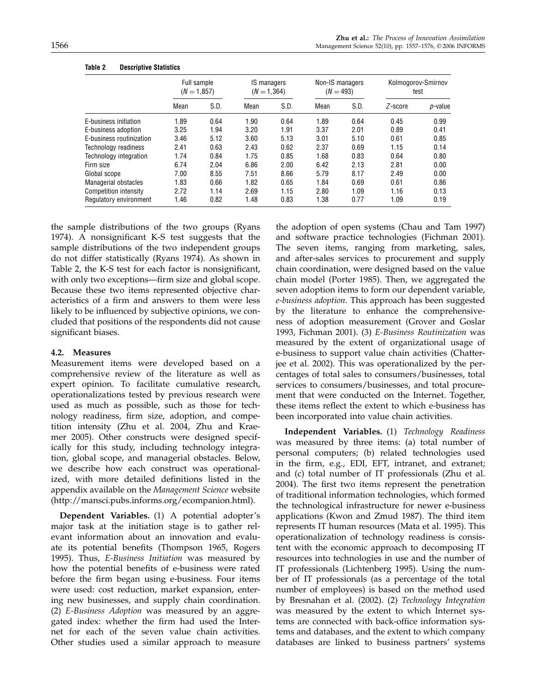|                             | Full sample<br>$(N = 1.857)$ |      | IS managers<br>$(N = 1,364)$ |      | Non-IS managers<br>$(N = 493)$ |      | Kolmogorov-Smirnov<br>test |                 |
|-----------------------------|------------------------------|------|------------------------------|------|--------------------------------|------|----------------------------|-----------------|
|                             | Mean                         | S.D. | Mean                         | S.D. | Mean                           | S.D. | $Z$ -score                 | <i>p</i> -value |
| E-business initiation       | 1.89                         | 0.64 | 1.90                         | 0.64 | 1.89                           | 0.64 | 0.45                       | 0.99            |
| E-business adoption         | 3.25                         | 1.94 | 3.20                         | 1.91 | 3.37                           | 2.01 | 0.89                       | 0.41            |
| E-business routinization    | 3.46                         | 5.12 | 3.60                         | 5.13 | 3.01                           | 5.10 | 0.61                       | 0.85            |
| Technology readiness        | 2.41                         | 0.63 | 2.43                         | 0.62 | 2.37                           | 0.69 | 1.15                       | 0.14            |
| Technology integration      | 1.74                         | 0.84 | 1.75                         | 0.85 | 1.68                           | 0.83 | 0.64                       | 0.80            |
| Firm size                   | 6.74                         | 2.04 | 6.86                         | 2.00 | 6.42                           | 2.13 | 2.81                       | 0.00            |
| Global scope                | 7.00                         | 8.55 | 7.51                         | 8.66 | 5.79                           | 8.17 | 2.49                       | 0.00            |
| <b>Managerial obstacles</b> | 1.83                         | 0.66 | 1.82                         | 0.65 | 1.84                           | 0.69 | 0.61                       | 0.86            |
| Competition intensity       | 2.72                         | 1.14 | 2.69                         | 1.15 | 2.80                           | 1.09 | 1.16                       | 0.13            |
| Regulatory environment      | 1.46                         | 0.82 | 1.48                         | 0.83 | 1.38                           | 0.77 | 1.09                       | 0.19            |

#### Table 2 Descriptive Statistics

the sample distributions of the two groups (Ryans 1974). A nonsignificant K-S test suggests that the sample distributions of the two independent groups do not differ statistically (Ryans 1974). As shown in Table 2, the K-S test for each factor is nonsignificant, with only two exceptions—firm size and global scope. Because these two items represented objective characteristics of a firm and answers to them were less likely to be influenced by subjective opinions, we concluded that positions of the respondents did not cause significant biases.

#### 4.2. Measures

Measurement items were developed based on a comprehensive review of the literature as well as expert opinion. To facilitate cumulative research, operationalizations tested by previous research were used as much as possible, such as those for technology readiness, firm size, adoption, and competition intensity (Zhu et al. 2004, Zhu and Kraemer 2005). Other constructs were designed specifically for this study, including technology integration, global scope, and managerial obstacles. Below, we describe how each construct was operationalized, with more detailed definitions listed in the appendix available on the Management Science website (http://mansci.pubs.informs.org/ecompanion.html).

Dependent Variables. (1) A potential adopter's major task at the initiation stage is to gather relevant information about an innovation and evaluate its potential benefits (Thompson 1965, Rogers 1995). Thus, E-Business Initiation was measured by how the potential benefits of e-business were rated before the firm began using e-business. Four items were used: cost reduction, market expansion, entering new businesses, and supply chain coordination. (2) E-Business Adoption was measured by an aggregated index: whether the firm had used the Internet for each of the seven value chain activities. Other studies used a similar approach to measure

the adoption of open systems (Chau and Tam 1997) and software practice technologies (Fichman 2001). The seven items, ranging from marketing, sales, and after-sales services to procurement and supply chain coordination, were designed based on the value chain model (Porter 1985). Then, we aggregated the seven adoption items to form our dependent variable, e-business adoption. This approach has been suggested by the literature to enhance the comprehensiveness of adoption measurement (Grover and Goslar 1993, Fichman 2001). (3) E-Business Routinization was measured by the extent of organizational usage of e-business to support value chain activities (Chatterjee et al. 2002). This was operationalized by the percentages of total sales to consumers/businesses, total services to consumers/businesses, and total procurement that were conducted on the Internet. Together, these items reflect the extent to which e-business has been incorporated into value chain activities.

Independent Variables. (1) Technology Readiness was measured by three items: (a) total number of personal computers; (b) related technologies used in the firm, e.g., EDI, EFT, intranet, and extranet; and (c) total number of IT professionals (Zhu et al. 2004). The first two items represent the penetration of traditional information technologies, which formed the technological infrastructure for newer e-business applications (Kwon and Zmud 1987). The third item represents IT human resources (Mata et al. 1995). This operationalization of technology readiness is consistent with the economic approach to decomposing IT resources into technologies in use and the number of IT professionals (Lichtenberg 1995). Using the number of IT professionals (as a percentage of the total number of employees) is based on the method used by Bresnahan et al. (2002). (2) Technology Integration was measured by the extent to which Internet systems are connected with back-office information systems and databases, and the extent to which company databases are linked to business partners' systems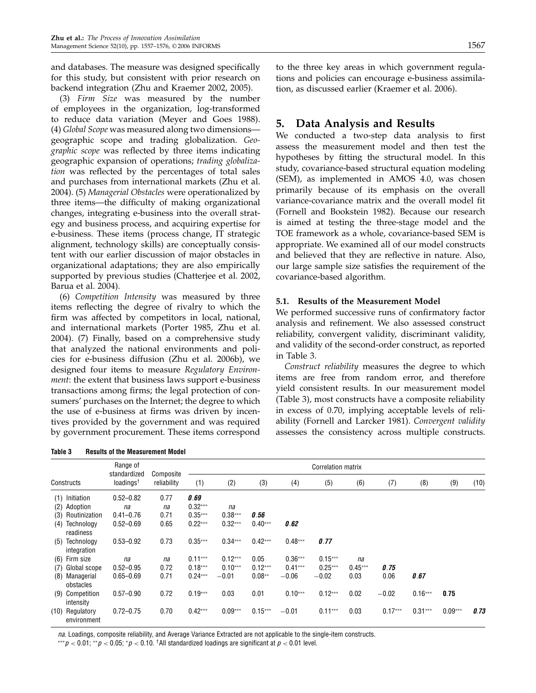and databases. The measure was designed specifically for this study, but consistent with prior research on backend integration (Zhu and Kraemer 2002, 2005).

(3) Firm Size was measured by the number of employees in the organization, log-transformed to reduce data variation (Meyer and Goes 1988). (4) Global Scope was measured along two dimensions geographic scope and trading globalization. Geographic scope was reflected by three items indicating geographic expansion of operations; trading globalization was reflected by the percentages of total sales and purchases from international markets (Zhu et al. 2004). (5) Managerial Obstacles were operationalized by three items—the difficulty of making organizational changes, integrating e-business into the overall strategy and business process, and acquiring expertise for e-business. These items (process change, IT strategic alignment, technology skills) are conceptually consistent with our earlier discussion of major obstacles in organizational adaptations; they are also empirically supported by previous studies (Chatterjee et al. 2002, Barua et al. 2004).

(6) Competition Intensity was measured by three items reflecting the degree of rivalry to which the firm was affected by competitors in local, national, and international markets (Porter 1985, Zhu et al. 2004). (7) Finally, based on a comprehensive study that analyzed the national environments and policies for e-business diffusion (Zhu et al. 2006b), we designed four items to measure Regulatory Environ*ment*: the extent that business laws support e-business transactions among firms; the legal protection of consumers' purchases on the Internet; the degree to which the use of e-business at firms was driven by incentives provided by the government and was required by government procurement. These items correspond

| Table 3 |  | <b>Results of the Measurement Model</b> |  |
|---------|--|-----------------------------------------|--|
|         |  |                                         |  |

to the three key areas in which government regulations and policies can encourage e-business assimilation, as discussed earlier (Kraemer et al. 2006).

# 5. Data Analysis and Results

We conducted a two-step data analysis to first assess the measurement model and then test the hypotheses by fitting the structural model. In this study, covariance-based structural equation modeling (SEM), as implemented in AMOS 4.0, was chosen primarily because of its emphasis on the overall variance-covariance matrix and the overall model fit (Fornell and Bookstein 1982). Because our research is aimed at testing the three-stage model and the TOE framework as a whole, covariance-based SEM is appropriate. We examined all of our model constructs and believed that they are reflective in nature. Also, our large sample size satisfies the requirement of the covariance-based algorithm.

#### 5.1. Results of the Measurement Model

We performed successive runs of confirmatory factor analysis and refinement. We also assessed construct reliability, convergent validity, discriminant validity, and validity of the second-order construct, as reported in Table 3.

Construct reliability measures the degree to which items are free from random error, and therefore yield consistent results. In our measurement model (Table 3), most constructs have a composite reliability in excess of 0.70, implying acceptable levels of reliability (Fornell and Larcker 1981). Convergent validity assesses the consistency across multiple constructs.

|            |                           | Range of      |                          | <b>Correlation matrix</b> |           |           |           |           |           |           |           |           |      |
|------------|---------------------------|---------------|--------------------------|---------------------------|-----------|-----------|-----------|-----------|-----------|-----------|-----------|-----------|------|
| Constructs | loadings <sup>†</sup>     | standardized  | Composite<br>reliability | (1)                       | (2)       | (3)       | (4)       | (5)       | (6)       | (7)       | (8)       | (9)       | (10) |
| (1)        | Initiation                | $0.52 - 0.82$ | 0.77                     | 0.69                      |           |           |           |           |           |           |           |           |      |
| (2)        | Adoption                  | na            | na                       | $0.32***$                 | na        |           |           |           |           |           |           |           |      |
| (3)        | Routinization             | $0.41 - 0.76$ | 0.71                     | $0.35***$                 | $0.38***$ | 0.56      |           |           |           |           |           |           |      |
| (4)        | Technology<br>readiness   | $0.52 - 0.69$ | 0.65                     | $0.22***$                 | $0.32***$ | $0.40***$ | 0.62      |           |           |           |           |           |      |
| (5)        | Technology<br>integration | $0.53 - 0.92$ | 0.73                     | $0.35***$                 | $0.34***$ | $0.42***$ | $0.48***$ | 0.77      |           |           |           |           |      |
| (6)        | Firm size                 | na            | na                       | $0.11***$                 | $0.12***$ | 0.05      | $0.36***$ | $0.15***$ | na        |           |           |           |      |
| (7)        | Global scope              | $0.52 - 0.95$ | 0.72                     | $0.18***$                 | $0.10***$ | $0.12***$ | $0.41***$ | $0.25***$ | $0.45***$ | 0.75      |           |           |      |
| (8)        | Managerial<br>obstacles   | $0.65 - 0.69$ | 0.71                     | $0.24***$                 | $-0.01$   | $0.08**$  | $-0.06$   | $-0.02$   | 0.03      | 0.06      | 0.67      |           |      |
| (9)        | Competition<br>intensity  | $0.57 - 0.90$ | 0.72                     | $0.19***$                 | 0.03      | 0.01      | $0.10***$ | $0.12***$ | 0.02      | $-0.02$   | $0.16***$ | 0.75      |      |
| (10)       | Regulatory<br>environment | $0.72 - 0.75$ | 0.70                     | $0.42***$                 | $0.09***$ | $0.15***$ | $-0.01$   | $0.11***$ | 0.03      | $0.17***$ | $0.31***$ | $0.09***$ | 0.73 |

na. Loadings, composite reliability, and Average Variance Extracted are not applicable to the single-item constructs.

\*\*\* $p < 0.01$ ; \*\* $p < 0.05$ ; \* $p < 0.10$ . †All standardized loadings are significant at  $p < 0.01$  level.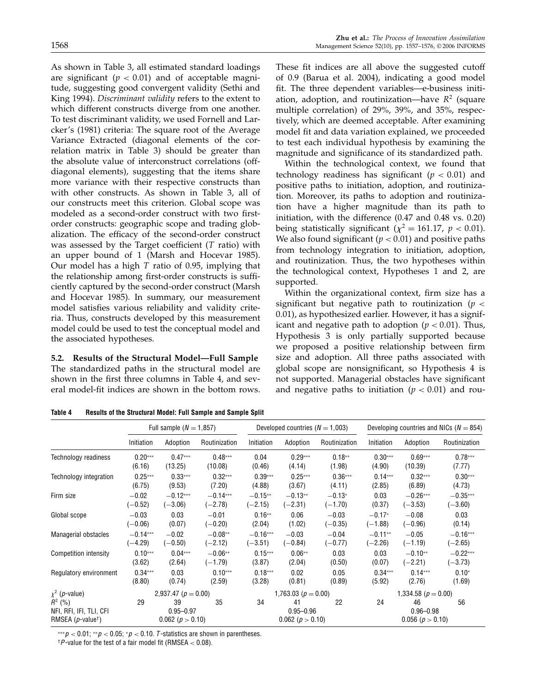As shown in Table 3, all estimated standard loadings are significant ( $p < 0.01$ ) and of acceptable magnitude, suggesting good convergent validity (Sethi and King 1994). Discriminant validity refers to the extent to which different constructs diverge from one another. To test discriminant validity, we used Fornell and Larcker's (1981) criteria: The square root of the Average Variance Extracted (diagonal elements of the correlation matrix in Table 3) should be greater than the absolute value of interconstruct correlations (offdiagonal elements), suggesting that the items share more variance with their respective constructs than with other constructs. As shown in Table 3, all of our constructs meet this criterion. Global scope was modeled as a second-order construct with two firstorder constructs: geographic scope and trading globalization. The efficacy of the second-order construct was assessed by the Target coefficient ( $T$  ratio) with an upper bound of 1 (Marsh and Hocevar 1985). Our model has a high  $T$  ratio of 0.95, implying that the relationship among first-order constructs is sufficiently captured by the second-order construct (Marsh and Hocevar 1985). In summary, our measurement model satisfies various reliability and validity criteria. Thus, constructs developed by this measurement model could be used to test the conceptual model and the associated hypotheses.

5.2. Results of the Structural Model—Full Sample The standardized paths in the structural model are shown in the first three columns in Table 4, and several model-fit indices are shown in the bottom rows. These fit indices are all above the suggested cutoff of 0.9 (Barua et al. 2004), indicating a good model fit. The three dependent variables—e-business initiation, adoption, and routinization—have  $R^2$  (square multiple correlation) of 29%, 39%, and 35%, respectively, which are deemed acceptable. After examining model fit and data variation explained, we proceeded to test each individual hypothesis by examining the magnitude and significance of its standardized path.

Within the technological context, we found that technology readiness has significant ( $p < 0.01$ ) and positive paths to initiation, adoption, and routinization. Moreover, its paths to adoption and routinization have a higher magnitude than its path to initiation, with the difference (0.47 and 0.48 vs. 0.20) being statistically significant ( $\chi^2 = 161.17$ ,  $p < 0.01$ ). We also found significant ( $p < 0.01$ ) and positive paths from technology integration to initiation, adoption, and routinization. Thus, the two hypotheses within the technological context, Hypotheses 1 and 2, are supported.

Within the organizational context, firm size has a significant but negative path to routinization ( $p <$ 0.01), as hypothesized earlier. However, it has a significant and negative path to adoption ( $p < 0.01$ ). Thus, Hypothesis 3 is only partially supported because we proposed a positive relationship between firm size and adoption. All three paths associated with global scope are nonsignificant, so Hypothesis 4 is not supported. Managerial obstacles have significant and negative paths to initiation  $(p < 0.01)$  and rou-

Table 4 Results of the Structural Model: Full Sample and Sample Split

|                                                                           | Full sample ( $N = 1,857$ ) |                                        |               |                                                    | Developed countries ( $N = 1,003$ ) |               | Developing countries and NICs ( $N = 854$ ) |                                        |               |
|---------------------------------------------------------------------------|-----------------------------|----------------------------------------|---------------|----------------------------------------------------|-------------------------------------|---------------|---------------------------------------------|----------------------------------------|---------------|
|                                                                           | Initiation                  | Adoption                               | Routinization | Initiation                                         | Adoption                            | Routinization | Initiation                                  | Adoption                               | Routinization |
| Technology readiness                                                      | $0.20***$                   | $0.47***$                              | $0.48***$     | 0.04                                               | $0.29***$                           | $0.18**$      | $0.30***$                                   | $0.69***$                              | $0.78***$     |
|                                                                           | (6.16)                      | (13.25)                                | (10.08)       | (0.46)                                             | (4.14)                              | (1.98)        | (4.90)                                      | (10.39)                                | (7.77)        |
| Technology integration                                                    | $0.25***$                   | $0.33***$                              | $0.32***$     | $0.39***$                                          | $0.25***$                           | $0.36***$     | $0.14***$                                   | $0.32***$                              | $0.30***$     |
|                                                                           | (6.75)                      | (9.53)                                 | (7.20)        | (4.88)                                             | (3.67)                              | (4.11)        | (2.85)                                      | (6.89)                                 | (4.73)        |
| Firm size                                                                 | $-0.02$                     | $-0.12***$                             | $-0.14***$    | $-0.15**$                                          | $-0.13**$                           | $-0.13*$      | 0.03                                        | $-0.26***$                             | $-0.35***$    |
|                                                                           | $(-0.52)$                   | $(-3.06)$                              | $(-2.78)$     | $(-2.15)$                                          | $(-2.31)$                           | $(-1.70)$     | (0.37)                                      | $(-3.53)$                              | $(-3.60)$     |
| Global scope                                                              | $-0.03$                     | 0.03                                   | $-0.01$       | $0.16**$                                           | 0.06                                | $-0.03$       | $-0.17*$                                    | $-0.08$                                | 0.03          |
|                                                                           | $(-0.06)$                   | (0.07)                                 | $(-0.20)$     | (2.04)                                             | (1.02)                              | $(-0.35)$     | $(-1.88)$                                   | $(-0.96)$                              | (0.14)        |
| Managerial obstacles                                                      | $-0.14***$                  | $-0.02$                                | $-0.08**$     | $-0.16***$                                         | $-0.03$                             | $-0.04$       | $-0.11**$                                   | $-0.05$                                | $-0.16***$    |
|                                                                           | $(-4.29)$                   | $(-0.50)$                              | $(-2.12)$     | $(-3.51)$                                          | $(-0.84)$                           | $(-0.77)$     | $(-2.26)$                                   | $(-1.19)$                              | $(-2.65)$     |
| Competition intensity                                                     | $0.10***$                   | $0.04***$                              | $-0.06**$     | $0.15***$                                          | $0.06**$                            | 0.03          | 0.03                                        | $-0.10**$                              | $-0.22***$    |
|                                                                           | (3.62)                      | (2.64)                                 | $(-1.79)$     | (3.87)                                             | (2.04)                              | (0.50)        | (0.07)                                      | $(-2.21)$                              | $(-3.73)$     |
| Regulatory environment                                                    | $0.34***$                   | 0.03                                   | $0.10***$     | $0.18***$                                          | 0.02                                | 0.05          | $0.34***$                                   | $0.14***$                              | $0.10*$       |
|                                                                           | (8.80)                      | (0.74)                                 | (2.59)        | (3.28)                                             | (0.81)                              | (0.89)        | (5.92)                                      | (2.76)                                 | (1.69)        |
| $\chi^2$ ( <i>p</i> -value)                                               | 2,937.47 ( $p = 0.00$ )     |                                        |               | 1,763.03 ( $p = 0.00$ )                            |                                     |               | 1,334.58 ( $p = 0.00$ )                     |                                        |               |
| $R^2$ (%)<br>NFI, RFI, IFI, TLI, CFI<br>RMSEA ( $p$ -value <sup>†</sup> ) | 29                          | 39<br>$0.95 - 0.97$<br>0.062(p > 0.10) | 35            | 34<br>22<br>41<br>$0.95 - 0.96$<br>0.062(p > 0.10) |                                     |               | 24                                          | 46<br>$0.96 - 0.98$<br>0.056(p > 0.10) | 56            |

 $* * p$  < 0.01; \*\*p < 0.05;  $* p$  < 0.10. T-statistics are shown in parentheses.

 $\frac{1}{2}P$ -value for the test of a fair model fit (RMSEA < 0.08).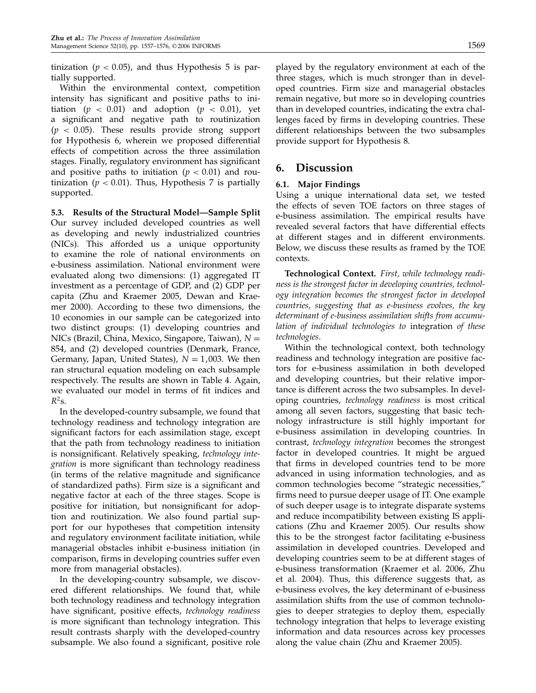tinization ( $p < 0.05$ ), and thus Hypothesis 5 is partially supported.

Within the environmental context, competition intensity has significant and positive paths to initiation  $(p < 0.01)$  and adoption  $(p < 0.01)$ , yet a significant and negative path to routinization  $(p < 0.05)$ . These results provide strong support for Hypothesis 6, wherein we proposed differential effects of competition across the three assimilation stages. Finally, regulatory environment has significant and positive paths to initiation  $(p < 0.01)$  and routinization ( $p < 0.01$ ). Thus, Hypothesis 7 is partially supported.

5.3. Results of the Structural Model—Sample Split Our survey included developed countries as well as developing and newly industrialized countries (NICs). This afforded us a unique opportunity to examine the role of national environments on e-business assimilation. National environment were evaluated along two dimensions: (1) aggregated IT investment as a percentage of GDP, and (2) GDP per capita (Zhu and Kraemer 2005, Dewan and Kraemer 2000). According to these two dimensions, the 10 economies in our sample can be categorized into two distinct groups: (1) developing countries and NICs (Brazil, China, Mexico, Singapore, Taiwan),  $N =$ 854, and (2) developed countries (Denmark, France, Germany, Japan, United States),  $N = 1,003$ . We then ran structural equation modeling on each subsample respectively. The results are shown in Table 4. Again, we evaluated our model in terms of fit indices and  $R^2$ s.

In the developed-country subsample, we found that technology readiness and technology integration are significant factors for each assimilation stage, except that the path from technology readiness to initiation is nonsignificant. Relatively speaking, technology integration is more significant than technology readiness (in terms of the relative magnitude and significance of standardized paths). Firm size is a significant and negative factor at each of the three stages. Scope is positive for initiation, but nonsignificant for adoption and routinization. We also found partial support for our hypotheses that competition intensity and regulatory environment facilitate initiation, while managerial obstacles inhibit e-business initiation (in comparison, firms in developing countries suffer even more from managerial obstacles).

In the developing-country subsample, we discovered different relationships. We found that, while both technology readiness and technology integration have significant, positive effects, technology readiness is more significant than technology integration. This result contrasts sharply with the developed-country subsample. We also found a significant, positive role

played by the regulatory environment at each of the three stages, which is much stronger than in developed countries. Firm size and managerial obstacles remain negative, but more so in developing countries than in developed countries, indicating the extra challenges faced by firms in developing countries. These different relationships between the two subsamples provide support for Hypothesis 8.

# 6. Discussion

# 6.1. Major Findings

Using a unique international data set, we tested the effects of seven TOE factors on three stages of e-business assimilation. The empirical results have revealed several factors that have differential effects at different stages and in different environments. Below, we discuss these results as framed by the TOE contexts.

Technological Context. First, while technology readiness is the strongest factor in developing countries, technology integration becomes the strongest factor in developed countries, suggesting that as e-business evolves, the key determinant of e-business assimilation shifts from accumulation of individual technologies to integration of these technologies.

Within the technological context, both technology readiness and technology integration are positive factors for e-business assimilation in both developed and developing countries, but their relative importance is different across the two subsamples. In developing countries, technology readiness is most critical among all seven factors, suggesting that basic technology infrastructure is still highly important for e-business assimilation in developing countries. In contrast, technology integration becomes the strongest factor in developed countries. It might be argued that firms in developed countries tend to be more advanced in using information technologies, and as common technologies become "strategic necessities," firms need to pursue deeper usage of IT. One example of such deeper usage is to integrate disparate systems and reduce incompatibility between existing IS applications (Zhu and Kraemer 2005). Our results show this to be the strongest factor facilitating e-business assimilation in developed countries. Developed and developing countries seem to be at different stages of e-business transformation (Kraemer et al. 2006, Zhu et al. 2004). Thus, this difference suggests that, as e-business evolves, the key determinant of e-business assimilation shifts from the use of common technologies to deeper strategies to deploy them, especially technology integration that helps to leverage existing information and data resources across key processes along the value chain (Zhu and Kraemer 2005).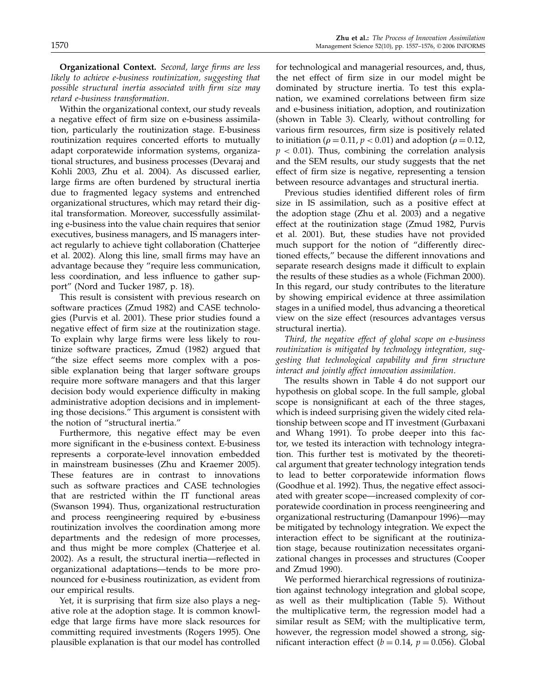Organizational Context. Second, large firms are less likely to achieve e-business routinization, suggesting that possible structural inertia associated with firm size may retard e-business transformation.

Within the organizational context, our study reveals a negative effect of firm size on e-business assimilation, particularly the routinization stage. E-business routinization requires concerted efforts to mutually adapt corporatewide information systems, organizational structures, and business processes (Devaraj and Kohli 2003, Zhu et al. 2004). As discussed earlier, large firms are often burdened by structural inertia due to fragmented legacy systems and entrenched organizational structures, which may retard their digital transformation. Moreover, successfully assimilating e-business into the value chain requires that senior executives, business managers, and IS managers interact regularly to achieve tight collaboration (Chatterjee et al. 2002). Along this line, small firms may have an advantage because they "require less communication, less coordination, and less influence to gather support" (Nord and Tucker 1987, p. 18).

This result is consistent with previous research on software practices (Zmud 1982) and CASE technologies (Purvis et al. 2001). These prior studies found a negative effect of firm size at the routinization stage. To explain why large firms were less likely to routinize software practices, Zmud (1982) argued that "the size effect seems more complex with a possible explanation being that larger software groups require more software managers and that this larger decision body would experience difficulty in making administrative adoption decisions and in implementing those decisions." This argument is consistent with the notion of "structural inertia."

Furthermore, this negative effect may be even more significant in the e-business context. E-business represents a corporate-level innovation embedded in mainstream businesses (Zhu and Kraemer 2005). These features are in contrast to innovations such as software practices and CASE technologies that are restricted within the IT functional areas (Swanson 1994). Thus, organizational restructuration and process reengineering required by e-business routinization involves the coordination among more departments and the redesign of more processes, and thus might be more complex (Chatterjee et al. 2002). As a result, the structural inertia—reflected in organizational adaptations—tends to be more pronounced for e-business routinization, as evident from our empirical results.

Yet, it is surprising that firm size also plays a negative role at the adoption stage. It is common knowledge that large firms have more slack resources for committing required investments (Rogers 1995). One plausible explanation is that our model has controlled

for technological and managerial resources, and, thus, the net effect of firm size in our model might be dominated by structure inertia. To test this explanation, we examined correlations between firm size and e-business initiation, adoption, and routinization (shown in Table 3). Clearly, without controlling for various firm resources, firm size is positively related to initiation ( $\rho = 0.11$ ,  $p < 0.01$ ) and adoption ( $\rho = 0.12$ ,  $p < 0.01$ ). Thus, combining the correlation analysis and the SEM results, our study suggests that the net effect of firm size is negative, representing a tension between resource advantages and structural inertia.

Previous studies identified different roles of firm size in IS assimilation, such as a positive effect at the adoption stage (Zhu et al. 2003) and a negative effect at the routinization stage (Zmud 1982, Purvis et al. 2001). But, these studies have not provided much support for the notion of "differently directioned effects," because the different innovations and separate research designs made it difficult to explain the results of these studies as a whole (Fichman 2000). In this regard, our study contributes to the literature by showing empirical evidence at three assimilation stages in a unified model, thus advancing a theoretical view on the size effect (resources advantages versus structural inertia).

Third, the negative effect of global scope on e-business routinization is mitigated by technology integration, suggesting that technological capability and firm structure interact and jointly affect innovation assimilation.

The results shown in Table 4 do not support our hypothesis on global scope. In the full sample, global scope is nonsignificant at each of the three stages, which is indeed surprising given the widely cited relationship between scope and IT investment (Gurbaxani and Whang 1991). To probe deeper into this factor, we tested its interaction with technology integration. This further test is motivated by the theoretical argument that greater technology integration tends to lead to better corporatewide information flows (Goodhue et al. 1992). Thus, the negative effect associated with greater scope—increased complexity of corporatewide coordination in process reengineering and organizational restructuring (Damanpour 1996)—may be mitigated by technology integration. We expect the interaction effect to be significant at the routinization stage, because routinization necessitates organizational changes in processes and structures (Cooper and Zmud 1990).

We performed hierarchical regressions of routinization against technology integration and global scope, as well as their multiplication (Table 5). Without the multiplicative term, the regression model had a similar result as SEM; with the multiplicative term, however, the regression model showed a strong, significant interaction effect ( $b = 0.14$ ,  $p = 0.056$ ). Global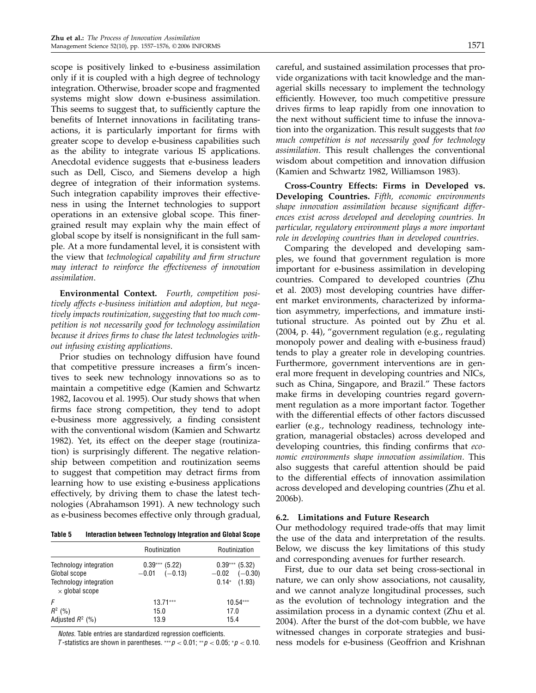scope is positively linked to e-business assimilation only if it is coupled with a high degree of technology integration. Otherwise, broader scope and fragmented systems might slow down e-business assimilation. This seems to suggest that, to sufficiently capture the benefits of Internet innovations in facilitating transactions, it is particularly important for firms with greater scope to develop e-business capabilities such as the ability to integrate various IS applications. Anecdotal evidence suggests that e-business leaders such as Dell, Cisco, and Siemens develop a high degree of integration of their information systems. Such integration capability improves their effectiveness in using the Internet technologies to support operations in an extensive global scope. This finergrained result may explain why the main effect of global scope by itself is nonsignificant in the full sample. At a more fundamental level, it is consistent with the view that technological capability and firm structure may interact to reinforce the effectiveness of innovation assimilation.

Environmental Context. Fourth, competition positively affects e-business initiation and adoption, but negatively impacts routinization, suggesting that too much competition is not necessarily good for technology assimilation because it drives firms to chase the latest technologies without infusing existing applications.

Prior studies on technology diffusion have found that competitive pressure increases a firm's incentives to seek new technology innovations so as to maintain a competitive edge (Kamien and Schwartz 1982, Iacovou et al. 1995). Our study shows that when firms face strong competition, they tend to adopt e-business more aggressively, a finding consistent with the conventional wisdom (Kamien and Schwartz 1982). Yet, its effect on the deeper stage (routinization) is surprisingly different. The negative relationship between competition and routinization seems to suggest that competition may detract firms from learning how to use existing e-business applications effectively, by driving them to chase the latest technologies (Abrahamson 1991). A new technology such as e-business becomes effective only through gradual,

Table 5 Interaction between Technology Integration and Global Scope

|                                                                                           | Routinization                            | Routinization                                                 |
|-------------------------------------------------------------------------------------------|------------------------------------------|---------------------------------------------------------------|
| Technology integration<br>Global scope<br>Technology integration<br>$\times$ global scope | $0.39***$<br>(5.22)<br>$-0.01$ $(-0.13)$ | $0.39***$<br>(5.32)<br>$(-0.30)$<br>$-0.02$<br>$0.14*$ (1.93) |
| F<br>$R^2$ (%)<br>Adjusted $R^2$ (%)                                                      | $13.71***$<br>15.0<br>13.9               | $10.54***$<br>17.0<br>15.4                                    |

Notes. Table entries are standardized regression coefficients.

T-statistics are shown in parentheses. \*\*\* $p < 0.01$ ; \*\* $p < 0.05$ ; \* $p < 0.10$ .

careful, and sustained assimilation processes that provide organizations with tacit knowledge and the managerial skills necessary to implement the technology efficiently. However, too much competitive pressure drives firms to leap rapidly from one innovation to the next without sufficient time to infuse the innovation into the organization. This result suggests that too much competition is not necessarily good for technology assimilation. This result challenges the conventional wisdom about competition and innovation diffusion (Kamien and Schwartz 1982, Williamson 1983).

Cross-Country Effects: Firms in Developed vs. Developing Countries. Fifth, economic environments shape innovation assimilation because significant differences exist across developed and developing countries. In particular, regulatory environment plays a more important role in developing countries than in developed countries.

Comparing the developed and developing samples, we found that government regulation is more important for e-business assimilation in developing countries. Compared to developed countries (Zhu et al. 2003) most developing countries have different market environments, characterized by information asymmetry, imperfections, and immature institutional structure. As pointed out by Zhu et al. (2004, p. 44), "government regulation (e.g., regulating monopoly power and dealing with e-business fraud) tends to play a greater role in developing countries. Furthermore, government interventions are in general more frequent in developing countries and NICs, such as China, Singapore, and Brazil." These factors make firms in developing countries regard government regulation as a more important factor. Together with the differential effects of other factors discussed earlier (e.g., technology readiness, technology integration, managerial obstacles) across developed and developing countries, this finding confirms that economic environments shape innovation assimilation. This also suggests that careful attention should be paid to the differential effects of innovation assimilation across developed and developing countries (Zhu et al. 2006b).

#### 6.2. Limitations and Future Research

Our methodology required trade-offs that may limit the use of the data and interpretation of the results. Below, we discuss the key limitations of this study and corresponding avenues for further research.

First, due to our data set being cross-sectional in nature, we can only show associations, not causality, and we cannot analyze longitudinal processes, such as the evolution of technology integration and the assimilation process in a dynamic context (Zhu et al. 2004). After the burst of the dot-com bubble, we have witnessed changes in corporate strategies and business models for e-business (Geoffrion and Krishnan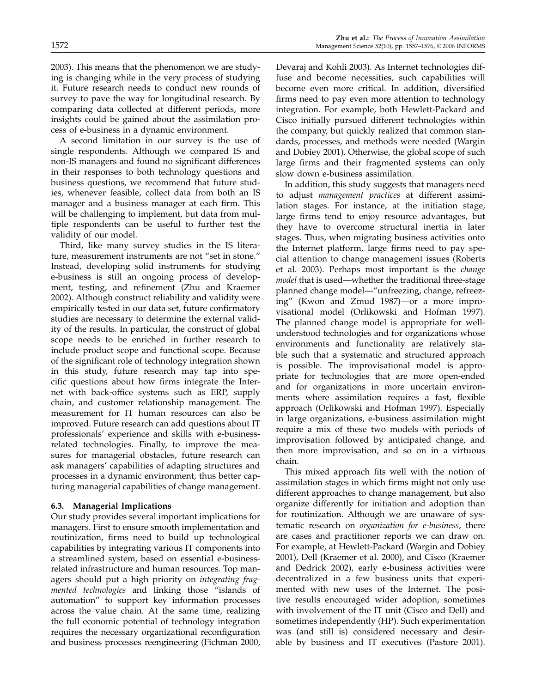2003). This means that the phenomenon we are studying is changing while in the very process of studying it. Future research needs to conduct new rounds of survey to pave the way for longitudinal research. By comparing data collected at different periods, more insights could be gained about the assimilation process of e-business in a dynamic environment.

A second limitation in our survey is the use of single respondents. Although we compared IS and non-IS managers and found no significant differences in their responses to both technology questions and business questions, we recommend that future studies, whenever feasible, collect data from both an IS manager and a business manager at each firm. This will be challenging to implement, but data from multiple respondents can be useful to further test the validity of our model.

Third, like many survey studies in the IS literature, measurement instruments are not "set in stone." Instead, developing solid instruments for studying e-business is still an ongoing process of development, testing, and refinement (Zhu and Kraemer 2002). Although construct reliability and validity were empirically tested in our data set, future confirmatory studies are necessary to determine the external validity of the results. In particular, the construct of global scope needs to be enriched in further research to include product scope and functional scope. Because of the significant role of technology integration shown in this study, future research may tap into specific questions about how firms integrate the Internet with back-office systems such as ERP, supply chain, and customer relationship management. The measurement for IT human resources can also be improved. Future research can add questions about IT professionals' experience and skills with e-businessrelated technologies. Finally, to improve the measures for managerial obstacles, future research can ask managers' capabilities of adapting structures and processes in a dynamic environment, thus better capturing managerial capabilities of change management.

## 6.3. Managerial Implications

Our study provides several important implications for managers. First to ensure smooth implementation and routinization, firms need to build up technological capabilities by integrating various IT components into a streamlined system, based on essential e-businessrelated infrastructure and human resources. Top managers should put a high priority on integrating fragmented technologies and linking those "islands of automation" to support key information processes across the value chain. At the same time, realizing the full economic potential of technology integration requires the necessary organizational reconfiguration and business processes reengineering (Fichman 2000,

Devaraj and Kohli 2003). As Internet technologies diffuse and become necessities, such capabilities will become even more critical. In addition, diversified firms need to pay even more attention to technology integration. For example, both Hewlett-Packard and Cisco initially pursued different technologies within the company, but quickly realized that common standards, processes, and methods were needed (Wargin and Dobiey 2001). Otherwise, the global scope of such large firms and their fragmented systems can only slow down e-business assimilation.

In addition, this study suggests that managers need to adjust management practices at different assimilation stages. For instance, at the initiation stage, large firms tend to enjoy resource advantages, but they have to overcome structural inertia in later stages. Thus, when migrating business activities onto the Internet platform, large firms need to pay special attention to change management issues (Roberts et al. 2003). Perhaps most important is the change model that is used—whether the traditional three-stage planned change model—"unfreezing, change, refreezing" (Kwon and Zmud 1987)—or a more improvisational model (Orlikowski and Hofman 1997). The planned change model is appropriate for wellunderstood technologies and for organizations whose environments and functionality are relatively stable such that a systematic and structured approach is possible. The improvisational model is appropriate for technologies that are more open-ended and for organizations in more uncertain environments where assimilation requires a fast, flexible approach (Orlikowski and Hofman 1997). Especially in large organizations, e-business assimilation might require a mix of these two models with periods of improvisation followed by anticipated change, and then more improvisation, and so on in a virtuous chain.

This mixed approach fits well with the notion of assimilation stages in which firms might not only use different approaches to change management, but also organize differently for initiation and adoption than for routinization. Although we are unaware of systematic research on organization for e-business, there are cases and practitioner reports we can draw on. For example, at Hewlett-Packard (Wargin and Dobiey 2001), Dell (Kraemer et al. 2000), and Cisco (Kraemer and Dedrick 2002), early e-business activities were decentralized in a few business units that experimented with new uses of the Internet. The positive results encouraged wider adoption, sometimes with involvement of the IT unit (Cisco and Dell) and sometimes independently (HP). Such experimentation was (and still is) considered necessary and desirable by business and IT executives (Pastore 2001).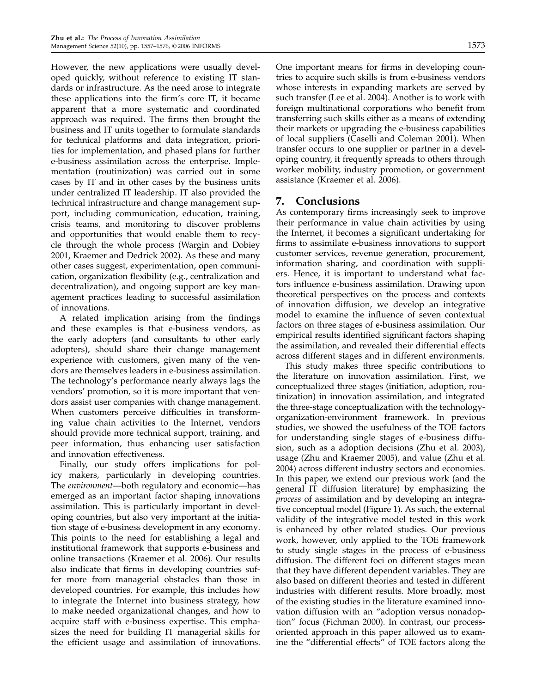However, the new applications were usually developed quickly, without reference to existing IT standards or infrastructure. As the need arose to integrate these applications into the firm's core IT, it became apparent that a more systematic and coordinated approach was required. The firms then brought the business and IT units together to formulate standards for technical platforms and data integration, priorities for implementation, and phased plans for further e-business assimilation across the enterprise. Implementation (routinization) was carried out in some cases by IT and in other cases by the business units under centralized IT leadership. IT also provided the technical infrastructure and change management support, including communication, education, training, crisis teams, and monitoring to discover problems and opportunities that would enable them to recycle through the whole process (Wargin and Dobiey 2001, Kraemer and Dedrick 2002). As these and many other cases suggest, experimentation, open communication, organization flexibility (e.g., centralization and decentralization), and ongoing support are key management practices leading to successful assimilation of innovations.

A related implication arising from the findings and these examples is that e-business vendors, as the early adopters (and consultants to other early adopters), should share their change management experience with customers, given many of the vendors are themselves leaders in e-business assimilation. The technology's performance nearly always lags the vendors' promotion, so it is more important that vendors assist user companies with change management. When customers perceive difficulties in transforming value chain activities to the Internet, vendors should provide more technical support, training, and peer information, thus enhancing user satisfaction and innovation effectiveness.

Finally, our study offers implications for policy makers, particularly in developing countries. The environment—both regulatory and economic—has emerged as an important factor shaping innovations assimilation. This is particularly important in developing countries, but also very important at the initiation stage of e-business development in any economy. This points to the need for establishing a legal and institutional framework that supports e-business and online transactions (Kraemer et al. 2006). Our results also indicate that firms in developing countries suffer more from managerial obstacles than those in developed countries. For example, this includes how to integrate the Internet into business strategy, how to make needed organizational changes, and how to acquire staff with e-business expertise. This emphasizes the need for building IT managerial skills for the efficient usage and assimilation of innovations.

One important means for firms in developing countries to acquire such skills is from e-business vendors whose interests in expanding markets are served by such transfer (Lee et al. 2004). Another is to work with foreign multinational corporations who benefit from transferring such skills either as a means of extending their markets or upgrading the e-business capabilities of local suppliers (Caselli and Coleman 2001). When transfer occurs to one supplier or partner in a developing country, it frequently spreads to others through worker mobility, industry promotion, or government assistance (Kraemer et al. 2006).

# 7. Conclusions

As contemporary firms increasingly seek to improve their performance in value chain activities by using the Internet, it becomes a significant undertaking for firms to assimilate e-business innovations to support customer services, revenue generation, procurement, information sharing, and coordination with suppliers. Hence, it is important to understand what factors influence e-business assimilation. Drawing upon theoretical perspectives on the process and contexts of innovation diffusion, we develop an integrative model to examine the influence of seven contextual factors on three stages of e-business assimilation. Our empirical results identified significant factors shaping the assimilation, and revealed their differential effects across different stages and in different environments.

This study makes three specific contributions to the literature on innovation assimilation. First, we conceptualized three stages (initiation, adoption, routinization) in innovation assimilation, and integrated the three-stage conceptualization with the technologyorganization-environment framework. In previous studies, we showed the usefulness of the TOE factors for understanding single stages of e-business diffusion, such as a adoption decisions (Zhu et al. 2003), usage (Zhu and Kraemer 2005), and value (Zhu et al. 2004) across different industry sectors and economies. In this paper, we extend our previous work (and the general IT diffusion literature) by emphasizing the process of assimilation and by developing an integrative conceptual model (Figure 1). As such, the external validity of the integrative model tested in this work is enhanced by other related studies. Our previous work, however, only applied to the TOE framework to study single stages in the process of e-business diffusion. The different foci on different stages mean that they have different dependent variables. They are also based on different theories and tested in different industries with different results. More broadly, most of the existing studies in the literature examined innovation diffusion with an "adoption versus nonadoption" focus (Fichman 2000). In contrast, our processoriented approach in this paper allowed us to examine the "differential effects" of TOE factors along the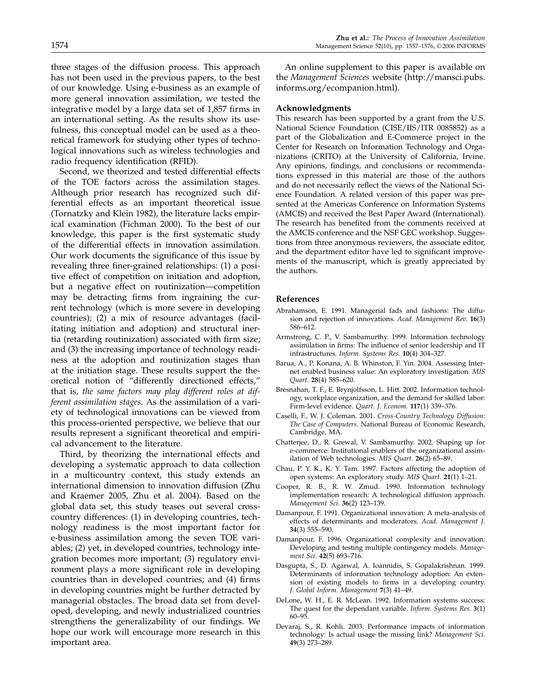three stages of the diffusion process. This approach has not been used in the previous papers, to the best of our knowledge. Using e-business as an example of more general innovation assimilation, we tested the integrative model by a large data set of 1,857 firms in an international setting. As the results show its usefulness, this conceptual model can be used as a theoretical framework for studying other types of technological innovations such as wireless technologies and radio frequency identification (RFID).

Second, we theorized and tested differential effects of the TOE factors across the assimilation stages. Although prior research has recognized such differential effects as an important theoretical issue (Tornatzky and Klein 1982), the literature lacks empirical examination (Fichman 2000). To the best of our knowledge, this paper is the first systematic study of the differential effects in innovation assimilation. Our work documents the significance of this issue by revealing three finer-grained relationships: (1) a positive effect of competition on initiation and adoption, but a negative effect on routinization—competition may be detracting firms from ingraining the current technology (which is more severe in developing countries); (2) a mix of resource advantages (facilitating initiation and adoption) and structural inertia (retarding routinization) associated with firm size; and (3) the increasing importance of technology readiness at the adoption and routinization stages than at the initiation stage. These results support the theoretical notion of "differently directioned effects," that is, the same factors may play different roles at different assimilation stages. As the assimilation of a variety of technological innovations can be viewed from this process-oriented perspective, we believe that our results represent a significant theoretical and empirical advancement to the literature.

Third, by theorizing the international effects and developing a systematic approach to data collection in a multicountry context, this study extends an international dimension to innovation diffusion (Zhu and Kraemer 2005, Zhu et al. 2004). Based on the global data set, this study teases out several crosscountry differences: (1) in developing countries, technology readiness is the most important factor for e-business assimilation among the seven TOE variables; (2) yet, in developed countries, technology integration becomes more important; (3) regulatory environment plays a more significant role in developing countries than in developed countries; and (4) firms in developing countries might be further detracted by managerial obstacles. The broad data set from developed, developing, and newly industrialized countries strengthens the generalizability of our findings. We hope our work will encourage more research in this important area.

An online supplement to this paper is available on the Management Sciences website (http://mansci.pubs. informs.org/ecompanion.html).

#### Acknowledgments

This research has been supported by a grant from the U.S. National Science Foundation (CISE/IIS/ITR 0085852) as a part of the Globalization and E-Commerce project in the Center for Research on Information Technology and Organizations (CRITO) at the University of California, Irvine. Any opinions, findings, and conclusions or recommendations expressed in this material are those of the authors and do not necessarily reflect the views of the National Science Foundation. A related version of this paper was presented at the Americas Conference on Information Systems (AMCIS) and received the Best Paper Award (International). The research has benefited from the comments received at the AMCIS conference and the NSF GEC workshop. Suggestions from three anonymous reviewers, the associate editor, and the department editor have led to significant improvements of the manuscript, which is greatly appreciated by the authors.

#### References

- Abrahamson, E. 1991. Managerial fads and fashions: The diffusion and rejection of innovations. Acad. Management Rev. 16(3) 586–612.
- Armstrong, C. P., V. Sambamurthy. 1999. Information technology assimilation in firms: The influence of senior leadership and IT infrastructures. Inform. Systems Res. 10(4) 304–327.
- Barua, A., P. Konana, A. B. Whinston, F. Yin. 2004. Assessing Internet enabled business value: An exploratory investigation. MIS Quart. 28(4) 585–620.
- Bresnahan, T. F., E. Brynjolfsson, L. Hitt. 2002. Information technology, workplace organization, and the demand for skilled labor: Firm-level evidence. Quart. J. Econom. 117(1) 339–376.
- Caselli, F., W. J. Coleman. 2001. Cross-Country Technology Diffusion: The Case of Computers. National Bureau of Economic Research, Cambridge, MA.
- Chatterjee, D., R. Grewal, V. Sambamurthy. 2002. Shaping up for e-commerce: Institutional enablers of the organizational assimilation of Web technologies. MIS Quart. 26(2) 65–89.
- Chau, P. Y. K., K. Y. Tam. 1997. Factors affecting the adoption of open systems: An exploratory study. MIS Quart. 21(1) 1–21.
- Cooper, R. B., R. W. Zmud. 1990. Information technology implementation research: A technological diffusion approach. Management Sci. 36(2) 123–139.
- Damanpour, F. 1991. Organizational innovation: A meta-analysis of effects of determinants and moderators. Acad. Management J. 34(3) 555–590.
- Damanpour, F. 1996. Organizational complexity and innovation: Developing and testing multiple contingency models. Management Sci. 42(5) 693–716.
- Dasgupta, S., D. Agarwal, A. Ioannidis, S. Gopalakrishnan. 1999. Determinants of information technology adoption: An extension of existing models to firms in a developing country. J. Global Inform. Management 7(3) 41–49.
- DeLone, W. H., E. R. McLean. 1992. Information systems success: The quest for the dependant variable. *Inform. Systems Res.* 3(1) 60–95.
- Devaraj, S., R. Kohli. 2003. Performance impacts of information technology: Is actual usage the missing link? Management Sci. 49(3) 273–289.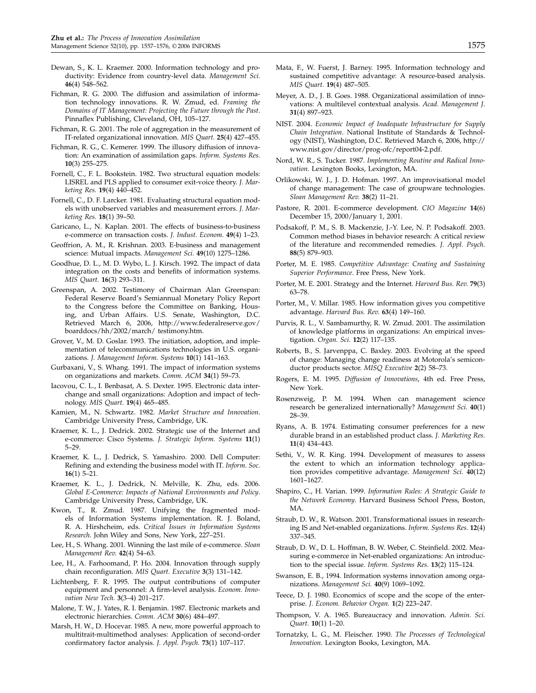- Dewan, S., K. L. Kraemer. 2000. Information technology and productivity: Evidence from country-level data. Management Sci. 46(4) 548–562.
- Fichman, R. G. 2000. The diffusion and assimilation of information technology innovations. R. W. Zmud, ed. Framing the Domains of IT Management: Projecting the Future through the Past. Pinnaflex Publishing, Cleveland, OH, 105–127.
- Fichman, R. G. 2001. The role of aggregation in the measurement of IT-related organizational innovation. MIS Quart. 25(4) 427–455.
- Fichman, R. G., C. Kemerer. 1999. The illusory diffusion of innovation: An examination of assimilation gaps. Inform. Systems Res. 10(3) 255–275.
- Fornell, C., F. L. Bookstein. 1982. Two structural equation models: LISREL and PLS applied to consumer exit-voice theory. J. Marketing Res. 19(4) 440–452.
- Fornell, C., D. F. Larcker. 1981. Evaluating structural equation models with unobserved variables and measurement errors. J. Marketing Res. 18(1) 39–50.
- Garicano, L., N. Kaplan. 2001. The effects of business-to-business e-commerce on transaction costs. J. Indust. Econom. 49(4) 1–23.
- Geoffrion, A. M., R. Krishnan. 2003. E-business and management science: Mutual impacts. Management Sci. 49(10) 1275–1286.
- Goodhue, D. L., M. D. Wybo, L. J. Kirsch. 1992. The impact of data integration on the costs and benefits of information systems. MIS Quart. 16(3) 293–311.
- Greenspan, A. 2002. Testimony of Chairman Alan Greenspan: Federal Reserve Board's Semiannual Monetary Policy Report to the Congress before the Committee on Banking, Housing, and Urban Affairs. U.S. Senate, Washington, D.C. Retrieved March 6, 2006, http://www.federalreserve.gov/ boarddocs/hh/2002/march/ testimony.htm.
- Grover, V., M. D. Goslar. 1993. The initiation, adoption, and implementation of telecommunications technologies in U.S. organizations. J. Management Inform. Systems 10(1) 141–163.
- Gurbaxani, V., S. Whang. 1991. The impact of information systems on organizations and markets. Comm. ACM 34(1) 59–73.
- Iacovou, C. L., I. Benbasat, A. S. Dexter. 1995. Electronic data interchange and small organizations: Adoption and impact of technology. MIS Quart. 19(4) 465–485.
- Kamien, M., N. Schwartz. 1982. Market Structure and Innovation. Cambridge University Press, Cambridge, UK.
- Kraemer, K. L., J. Dedrick. 2002. Strategic use of the Internet and e-commerce: Cisco Systems. J. Strategic Inform. Systems 11(1) 5–29.
- Kraemer, K. L., J. Dedrick, S. Yamashiro. 2000. Dell Computer: Refining and extending the business model with IT. Inform. Soc. 16(1) 5–21.
- Kraemer, K. L., J. Dedrick, N. Melville, K. Zhu, eds. 2006. Global E-Commerce: Impacts of National Environments and Policy. Cambridge University Press, Cambridge, UK.
- Kwon, T., R. Zmud. 1987. Unifying the fragmented models of Information Systems implementation. R. J. Boland, R. A. Hirshcheim, eds. Critical Issues in Information Systems Research. John Wiley and Sons, New York, 227–251.
- Lee, H., S. Whang. 2001. Winning the last mile of e-commerce. Sloan Management Rev. 42(4) 54–63.
- Lee, H., A. Farhoomand, P. Ho. 2004. Innovation through supply chain reconfiguration. MIS Quart. Executive 3(3) 131-142.
- Lichtenberg, F. R. 1995. The output contributions of computer equipment and personnel: A firm-level analysis. Econom. Innovation New Tech. 3(3–4) 201–217.
- Malone, T. W., J. Yates, R. I. Benjamin. 1987. Electronic markets and electronic hierarchies. Comm. ACM 30(6) 484–497.
- Marsh, H. W., D. Hocevar. 1985. A new, more powerful approach to multitrait-multimethod analyses: Application of second-order confirmatory factor analysis. J. Appl. Psych. 73(1) 107–117.
- Mata, F., W. Fuerst, J. Barney. 1995. Information technology and sustained competitive advantage: A resource-based analysis. MIS Quart. 19(4) 487–505.
- Meyer, A. D., J. B. Goes. 1988. Organizational assimilation of innovations: A multilevel contextual analysis. Acad. Management J. 31(4) 897–923.
- NIST. 2004. Economic Impact of Inadequate Infrastructure for Supply Chain Integration. National Institute of Standards & Technology (NIST), Washington, D.C. Retrieved March 6, 2006, http:// www.nist.gov/director/prog-ofc/report04-2.pdf.
- Nord, W. R., S. Tucker. 1987. Implementing Routine and Radical Innovation. Lexington Books, Lexington, MA.
- Orlikowski, W. J., J. D. Hofman. 1997. An improvisational model of change management: The case of groupware technologies. Sloan Management Rev. 38(2) 11–21.
- Pastore, R. 2001. E-commerce development. CIO Magazine 14(6) December 15, 2000/January 1, 2001.
- Podsakoff, P. M., S. B. Mackenzie, J.-Y. Lee, N. P. Podsakoff. 2003. Common method biases in behavior research: A critical review of the literature and recommended remedies. J. Appl. Psych. 88(5) 879–903.
- Porter, M. E. 1985. Competitive Advantage: Creating and Sustaining Superior Performance. Free Press, New York.
- Porter, M. E. 2001. Strategy and the Internet. Harvard Bus. Rev. 79(3) 63–78.
- Porter, M., V. Millar. 1985. How information gives you competitive advantage. Harvard Bus. Rev. 63(4) 149–160.
- Purvis, R. L., V. Sambamurthy, R. W. Zmud. 2001. The assimilation of knowledge platforms in organizations: An empirical investigation. Organ. Sci. 12(2) 117–135.
- Roberts, B., S. Jarvenppa, C. Baxley. 2003. Evolving at the speed of change: Managing change readiness at Motorola's semiconductor products sector. MISQ Executive 2(2) 58–73.
- Rogers, E. M. 1995. Diffusion of Innovations, 4th ed. Free Press, New York.
- Rosenzweig, P. M. 1994. When can management science research be generalized internationally? Management Sci. 40(1) 28–39.
- Ryans, A. B. 1974. Estimating consumer preferences for a new durable brand in an established product class. J. Marketing Res. 11(4) 434–443.
- Sethi, V., W. R. King. 1994. Development of measures to assess the extent to which an information technology application provides competitive advantage. Management Sci. 40(12) 1601–1627.
- Shapiro, C., H. Varian. 1999. Information Rules: A Strategic Guide to the Network Economy. Harvard Business School Press, Boston, MA.
- Straub, D. W., R. Watson. 2001. Transformational issues in researching IS and Net-enabled organizations. Inform. Systems Res. 12(4) 337–345.
- Straub, D. W., D. L. Hoffman, B. W. Weber, C. Steinfield. 2002. Measuring e-commerce in Net-enabled organizations: An introduction to the special issue. Inform. Systems Res. 13(2) 115–124.
- Swanson, E. B., 1994. Information systems innovation among organizations. Management Sci. 40(9) 1069–1092.
- Teece, D. J. 1980. Economics of scope and the scope of the enterprise. J. Econom. Behavior Organ. 1(2) 223–247.
- Thompson, V. A. 1965. Bureaucracy and innovation. Admin. Sci. Quart. 10(1) 1–20.
- Tornatzky, L. G., M. Fleischer. 1990. The Processes of Technological Innovation. Lexington Books, Lexington, MA.